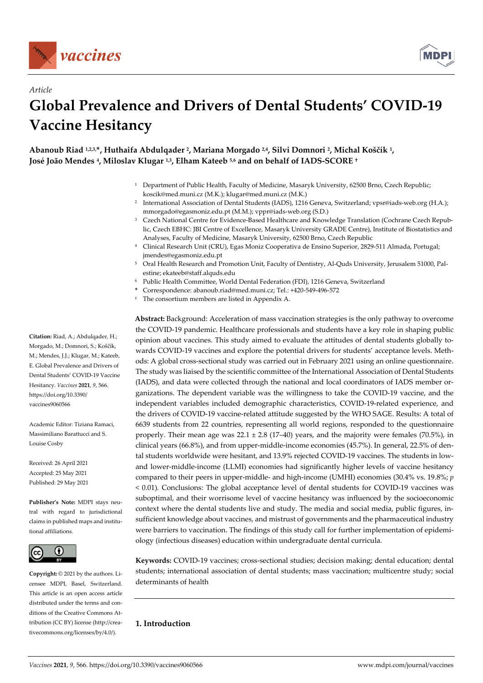

*Article* 



# **Global Prevalence and Drivers of Dental Students' COVID-19 Vaccine Hesitancy**

**Abanoub Riad 1,2,3,\*, Huthaifa Abdulqader 2, Mariana Morgado 2,4, Silvi Domnori 2, Michal Koščík 1, José João Mendes 4, Miloslav Klugar 1,3, Elham Kateeb 5,6 and on behalf of IADS-SCORE †**

- <sup>1</sup> Department of Public Health, Faculty of Medicine, Masaryk University, 62500 Brno, Czech Republic; koscik@med.muni.cz (M.K.); klugar@med.muni.cz (M.K.)
- <sup>2</sup> International Association of Dental Students (IADS), 1216 Geneva, Switzerland; vpsr@iads-web.org (H.A.); mmorgado@egasmoniz.edu.pt (M.M.); vppr@iads-web.org (S.D.)
- 3 Czech National Centre for Evidence-Based Healthcare and Knowledge Translation (Cochrane Czech Republic, Czech EBHC: JBI Centre of Excellence, Masaryk University GRADE Centre), Institute of Biostatistics and Analyses, Faculty of Medicine, Masaryk University, 62500 Brno, Czech Republic
- 4 Clinical Research Unit (CRU), Egas Moniz Cooperativa de Ensino Superior, 2829-511 Almada, Portugal; jmendes@egasmoniz.edu.pt
- 5 Oral Health Research and Promotion Unit, Faculty of Dentistry, Al-Quds University, Jerusalem 51000, Palestine; ekateeb@staff.alquds.edu
- 6 Public Health Committee, World Dental Federation (FDI), 1216 Geneva, Switzerland
- **\*** Correspondence: abanoub.riad@med.muni.cz; Tel.: +420-549-496-572
- † The consortium members are listed in Appendix A.

**Abstract:** Background: Acceleration of mass vaccination strategies is the only pathway to overcome the COVID-19 pandemic. Healthcare professionals and students have a key role in shaping public opinion about vaccines. This study aimed to evaluate the attitudes of dental students globally towards COVID-19 vaccines and explore the potential drivers for students' acceptance levels. Methods: A global cross-sectional study was carried out in February 2021 using an online questionnaire. The study was liaised by the scientific committee of the International Association of Dental Students (IADS), and data were collected through the national and local coordinators of IADS member organizations. The dependent variable was the willingness to take the COVID-19 vaccine, and the independent variables included demographic characteristics, COVID-19-related experience, and the drivers of COVID-19 vaccine-related attitude suggested by the WHO SAGE. Results: A total of 6639 students from 22 countries, representing all world regions, responded to the questionnaire properly. Their mean age was  $22.1 \pm 2.8$  (17–40) years, and the majority were females (70.5%), in clinical years (66.8%), and from upper-middle-income economies (45.7%). In general, 22.5% of dental students worldwide were hesitant, and 13.9% rejected COVID-19 vaccines. The students in lowand lower-middle-income (LLMI) economies had significantly higher levels of vaccine hesitancy compared to their peers in upper-middle- and high-income (UMHI) economies (30.4% vs. 19.8%; *p* < 0.01). Conclusions: The global acceptance level of dental students for COVID-19 vaccines was suboptimal, and their worrisome level of vaccine hesitancy was influenced by the socioeconomic context where the dental students live and study. The media and social media, public figures, insufficient knowledge about vaccines, and mistrust of governments and the pharmaceutical industry were barriers to vaccination. The findings of this study call for further implementation of epidemiology (infectious diseases) education within undergraduate dental curricula.

**Keywords:** COVID-19 vaccines; cross-sectional studies; decision making; dental education; dental students; international association of dental students; mass vaccination; multicentre study; social determinants of health

# **1. Introduction**

**Citation:** Riad, A.; Abdulqader, H.; Morgado, M.; Domnori, S.; Koščík, M.; Mendes, J.J.; Klugar, M.; Kateeb, E. Global Prevalence and Drivers of Dental Students' COVID-19 Vaccine Hesitancy. *Vaccines* **2021**, *9*, 566. https://doi.org/10.3390/ vaccines9060566

Academic Editor: Tiziana Ramaci, Massimiliano Barattucci and S. Louise Cosby

Received: 26 April 2021 Accepted: 25 May 2021 Published: 29 May 2021

**Publisher's Note:** MDPI stays neutral with regard to jurisdictional claims in published maps and institutional affiliations.



**Copyright:** © 2021 by the authors. Licensee MDPI, Basel, Switzerland. This article is an open access article distributed under the terms and conditions of the Creative Commons Attribution (CC BY) license (http://creativecommons.org/licenses/by/4.0/).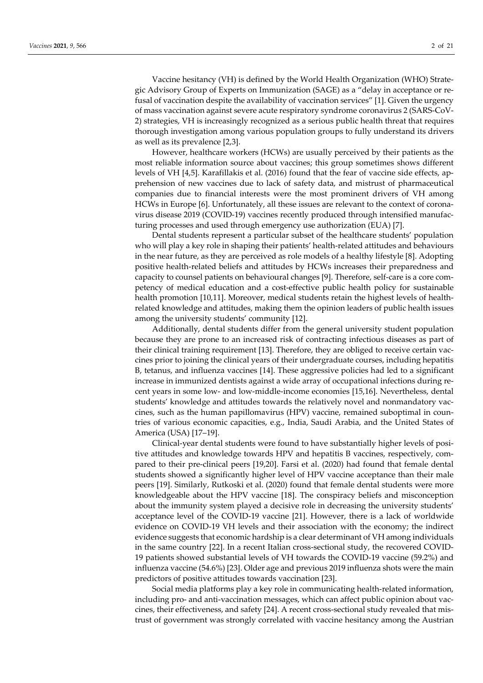Vaccine hesitancy (VH) is defined by the World Health Organization (WHO) Strategic Advisory Group of Experts on Immunization (SAGE) as a "delay in acceptance or refusal of vaccination despite the availability of vaccination services" [1]. Given the urgency of mass vaccination against severe acute respiratory syndrome coronavirus 2 (SARS-CoV-2) strategies, VH is increasingly recognized as a serious public health threat that requires thorough investigation among various population groups to fully understand its drivers as well as its prevalence [2,3].

However, healthcare workers (HCWs) are usually perceived by their patients as the most reliable information source about vaccines; this group sometimes shows different levels of VH [4,5]. Karafillakis et al. (2016) found that the fear of vaccine side effects, apprehension of new vaccines due to lack of safety data, and mistrust of pharmaceutical companies due to financial interests were the most prominent drivers of VH among HCWs in Europe [6]. Unfortunately, all these issues are relevant to the context of coronavirus disease 2019 (COVID-19) vaccines recently produced through intensified manufacturing processes and used through emergency use authorization (EUA) [7].

Dental students represent a particular subset of the healthcare students' population who will play a key role in shaping their patients' health-related attitudes and behaviours in the near future, as they are perceived as role models of a healthy lifestyle [8]. Adopting positive health-related beliefs and attitudes by HCWs increases their preparedness and capacity to counsel patients on behavioural changes [9]. Therefore, self-care is a core competency of medical education and a cost-effective public health policy for sustainable health promotion [10,11]. Moreover, medical students retain the highest levels of healthrelated knowledge and attitudes, making them the opinion leaders of public health issues among the university students' community [12].

Additionally, dental students differ from the general university student population because they are prone to an increased risk of contracting infectious diseases as part of their clinical training requirement [13]. Therefore, they are obliged to receive certain vaccines prior to joining the clinical years of their undergraduate courses, including hepatitis B, tetanus, and influenza vaccines [14]. These aggressive policies had led to a significant increase in immunized dentists against a wide array of occupational infections during recent years in some low- and low-middle-income economies [15,16]. Nevertheless, dental students' knowledge and attitudes towards the relatively novel and nonmandatory vaccines, such as the human papillomavirus (HPV) vaccine, remained suboptimal in countries of various economic capacities, e.g., India, Saudi Arabia, and the United States of America (USA) [17–19].

Clinical-year dental students were found to have substantially higher levels of positive attitudes and knowledge towards HPV and hepatitis B vaccines, respectively, compared to their pre-clinical peers [19,20]. Farsi et al. (2020) had found that female dental students showed a significantly higher level of HPV vaccine acceptance than their male peers [19]. Similarly, Rutkoski et al. (2020) found that female dental students were more knowledgeable about the HPV vaccine [18]. The conspiracy beliefs and misconception about the immunity system played a decisive role in decreasing the university students' acceptance level of the COVID-19 vaccine [21]. However, there is a lack of worldwide evidence on COVID-19 VH levels and their association with the economy; the indirect evidence suggests that economic hardship is a clear determinant of VH among individuals in the same country [22]. In a recent Italian cross-sectional study, the recovered COVID-19 patients showed substantial levels of VH towards the COVID-19 vaccine (59.2%) and influenza vaccine (54.6%) [23]. Older age and previous 2019 influenza shots were the main predictors of positive attitudes towards vaccination [23].

Social media platforms play a key role in communicating health-related information, including pro- and anti-vaccination messages, which can affect public opinion about vaccines, their effectiveness, and safety [24]. A recent cross-sectional study revealed that mistrust of government was strongly correlated with vaccine hesitancy among the Austrian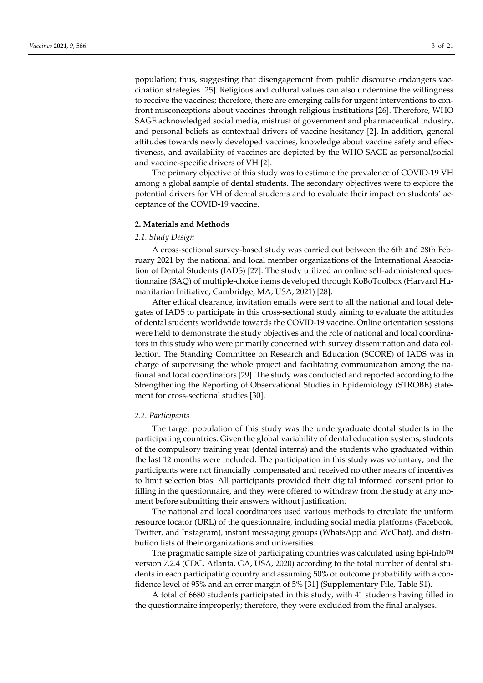population; thus, suggesting that disengagement from public discourse endangers vaccination strategies [25]. Religious and cultural values can also undermine the willingness to receive the vaccines; therefore, there are emerging calls for urgent interventions to confront misconceptions about vaccines through religious institutions [26]. Therefore, WHO SAGE acknowledged social media, mistrust of government and pharmaceutical industry, and personal beliefs as contextual drivers of vaccine hesitancy [2]. In addition, general attitudes towards newly developed vaccines, knowledge about vaccine safety and effectiveness, and availability of vaccines are depicted by the WHO SAGE as personal/social and vaccine-specific drivers of VH [2].

The primary objective of this study was to estimate the prevalence of COVID-19 VH among a global sample of dental students. The secondary objectives were to explore the potential drivers for VH of dental students and to evaluate their impact on students' acceptance of the COVID-19 vaccine.

#### **2. Materials and Methods**

## *2.1. Study Design*

A cross-sectional survey-based study was carried out between the 6th and 28th February 2021 by the national and local member organizations of the International Association of Dental Students (IADS) [27]. The study utilized an online self-administered questionnaire (SAQ) of multiple-choice items developed through KoBoToolbox (Harvard Humanitarian Initiative, Cambridge, MA, USA, 2021) [28].

After ethical clearance, invitation emails were sent to all the national and local delegates of IADS to participate in this cross-sectional study aiming to evaluate the attitudes of dental students worldwide towards the COVID-19 vaccine. Online orientation sessions were held to demonstrate the study objectives and the role of national and local coordinators in this study who were primarily concerned with survey dissemination and data collection. The Standing Committee on Research and Education (SCORE) of IADS was in charge of supervising the whole project and facilitating communication among the national and local coordinators [29]. The study was conducted and reported according to the Strengthening the Reporting of Observational Studies in Epidemiology (STROBE) statement for cross-sectional studies [30].

#### *2.2. Participants*

The target population of this study was the undergraduate dental students in the participating countries. Given the global variability of dental education systems, students of the compulsory training year (dental interns) and the students who graduated within the last 12 months were included. The participation in this study was voluntary, and the participants were not financially compensated and received no other means of incentives to limit selection bias. All participants provided their digital informed consent prior to filling in the questionnaire, and they were offered to withdraw from the study at any moment before submitting their answers without justification.

The national and local coordinators used various methods to circulate the uniform resource locator (URL) of the questionnaire, including social media platforms (Facebook, Twitter, and Instagram), instant messaging groups (WhatsApp and WeChat), and distribution lists of their organizations and universities.

The pragmatic sample size of participating countries was calculated using Epi-Info<sup>TM</sup> version 7.2.4 (CDC, Atlanta, GA, USA, 2020) according to the total number of dental students in each participating country and assuming 50% of outcome probability with a confidence level of 95% and an error margin of 5% [31] (Supplementary File, Table S1).

A total of 6680 students participated in this study, with 41 students having filled in the questionnaire improperly; therefore, they were excluded from the final analyses.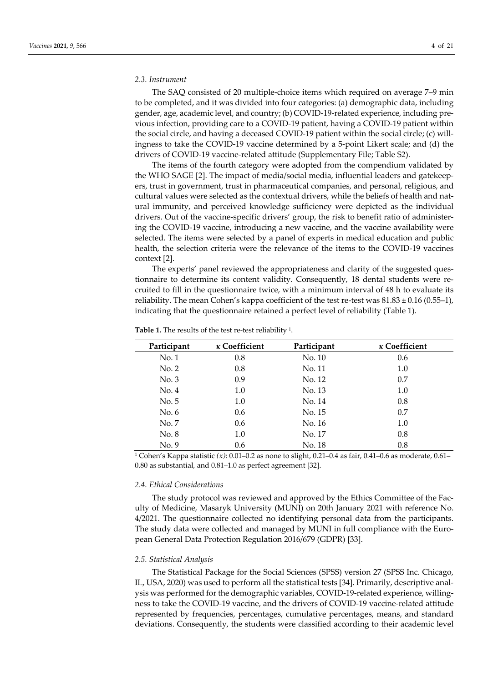## *2.3. Instrument*

The SAQ consisted of 20 multiple-choice items which required on average 7–9 min to be completed, and it was divided into four categories: (a) demographic data, including gender, age, academic level, and country; (b) COVID-19-related experience, including previous infection, providing care to a COVID-19 patient, having a COVID-19 patient within the social circle, and having a deceased COVID-19 patient within the social circle; (c) willingness to take the COVID-19 vaccine determined by a 5-point Likert scale; and (d) the drivers of COVID-19 vaccine-related attitude (Supplementary File; Table S2).

The items of the fourth category were adopted from the compendium validated by the WHO SAGE [2]. The impact of media/social media, influential leaders and gatekeepers, trust in government, trust in pharmaceutical companies, and personal, religious, and cultural values were selected as the contextual drivers, while the beliefs of health and natural immunity, and perceived knowledge sufficiency were depicted as the individual drivers. Out of the vaccine-specific drivers' group, the risk to benefit ratio of administering the COVID-19 vaccine, introducing a new vaccine, and the vaccine availability were selected. The items were selected by a panel of experts in medical education and public health, the selection criteria were the relevance of the items to the COVID-19 vaccines context [2].

The experts' panel reviewed the appropriateness and clarity of the suggested questionnaire to determine its content validity. Consequently, 18 dental students were recruited to fill in the questionnaire twice, with a minimum interval of 48 h to evaluate its reliability. The mean Cohen's kappa coefficient of the test re-test was  $81.83 \pm 0.16$  (0.55–1), indicating that the questionnaire retained a perfect level of reliability (Table 1).

| Participant | $\kappa$ Coefficient | Participant | $\kappa$ Coefficient |
|-------------|----------------------|-------------|----------------------|
| No. 1       | 0.8                  | No. 10      | 0.6                  |
| No. 2       | 0.8                  | No. 11      | 1.0                  |
| No. 3       | 0.9                  | No. 12      | 0.7                  |
| No. 4       | 1.0                  | No. 13      | 1.0                  |
| No. 5       | 1.0                  | No. 14      | 0.8                  |
| No. 6       | 0.6                  | No. 15      | 0.7                  |
| No. 7       | 0.6                  | No. 16      | 1.0                  |
| No. 8       | 1.0                  | No. 17      | 0.8                  |
| No. 9       | 0.6                  | No. 18      | 0.8                  |
|             | .                    |             |                      |

Table 1. The results of the test re-test reliability <sup>1</sup>.

1 Cohen's Kappa statistic *(κ)*: 0.01–0.2 as none to slight, 0.21–0.4 as fair, 0.41–0.6 as moderate, 0.61– 0.80 as substantial, and 0.81–1.0 as perfect agreement [32].

## *2.4. Ethical Considerations*

The study protocol was reviewed and approved by the Ethics Committee of the Faculty of Medicine, Masaryk University (MUNI) on 20th January 2021 with reference No. 4/2021. The questionnaire collected no identifying personal data from the participants. The study data were collected and managed by MUNI in full compliance with the European General Data Protection Regulation 2016/679 (GDPR) [33].

#### *2.5. Statistical Analysis*

The Statistical Package for the Social Sciences (SPSS) version 27 (SPSS Inc. Chicago, IL, USA, 2020) was used to perform all the statistical tests [34]. Primarily, descriptive analysis was performed for the demographic variables, COVID-19-related experience, willingness to take the COVID-19 vaccine, and the drivers of COVID-19 vaccine-related attitude represented by frequencies, percentages, cumulative percentages, means, and standard deviations. Consequently, the students were classified according to their academic level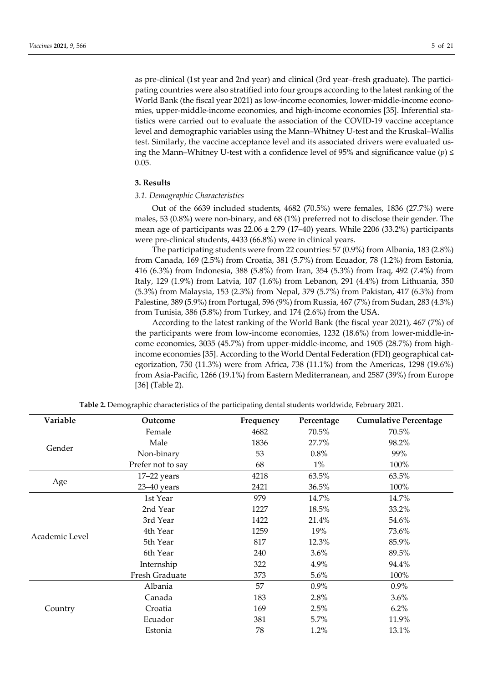as pre-clinical (1st year and 2nd year) and clinical (3rd year–fresh graduate). The participating countries were also stratified into four groups according to the latest ranking of the World Bank (the fiscal year 2021) as low-income economies, lower-middle-income economies, upper-middle-income economies, and high-income economies [35]. Inferential statistics were carried out to evaluate the association of the COVID-19 vaccine acceptance level and demographic variables using the Mann–Whitney U-test and the Kruskal–Wallis test. Similarly, the vaccine acceptance level and its associated drivers were evaluated using the Mann–Whitney U-test with a confidence level of 95% and significance value  $(p) \leq$ 0.05.

## **3. Results**

## *3.1. Demographic Characteristics*

Out of the 6639 included students, 4682 (70.5%) were females, 1836 (27.7%) were males, 53 (0.8%) were non-binary, and 68 (1%) preferred not to disclose their gender. The mean age of participants was  $22.06 \pm 2.79$  (17–40) years. While 2206 (33.2%) participants were pre-clinical students, 4433 (66.8%) were in clinical years.

The participating students were from 22 countries: 57 (0.9%) from Albania, 183 (2.8%) from Canada, 169 (2.5%) from Croatia, 381 (5.7%) from Ecuador, 78 (1.2%) from Estonia, 416 (6.3%) from Indonesia, 388 (5.8%) from Iran, 354 (5.3%) from Iraq, 492 (7.4%) from Italy, 129 (1.9%) from Latvia, 107 (1.6%) from Lebanon, 291 (4.4%) from Lithuania, 350 (5.3%) from Malaysia, 153 (2.3%) from Nepal, 379 (5.7%) from Pakistan, 417 (6.3%) from Palestine, 389 (5.9%) from Portugal, 596 (9%) from Russia, 467 (7%) from Sudan, 283 (4.3%) from Tunisia, 386 (5.8%) from Turkey, and 174 (2.6%) from the USA.

According to the latest ranking of the World Bank (the fiscal year 2021), 467 (7%) of the participants were from low-income economies, 1232 (18.6%) from lower-middle-income economies, 3035 (45.7%) from upper-middle-income, and 1905 (28.7%) from highincome economies [35]. According to the World Dental Federation (FDI) geographical categorization, 750 (11.3%) were from Africa, 738 (11.1%) from the Americas, 1298 (19.6%) from Asia-Pacific, 1266 (19.1%) from Eastern Mediterranean, and 2587 (39%) from Europe [36] (Table 2).

| Variable       | Outcome                                                                                                                                                                                                                                                                       | Frequency | Percentage | <b>Cumulative Percentage</b> |
|----------------|-------------------------------------------------------------------------------------------------------------------------------------------------------------------------------------------------------------------------------------------------------------------------------|-----------|------------|------------------------------|
|                | Female                                                                                                                                                                                                                                                                        | 4682      | 70.5%      | 70.5%                        |
| Gender         | Male                                                                                                                                                                                                                                                                          | 1836      | 27.7%      | 98.2%                        |
|                | Non-binary                                                                                                                                                                                                                                                                    | 53        | 0.8%       | 99%                          |
|                | Prefer not to say                                                                                                                                                                                                                                                             | 68        | $1\%$      | 100%                         |
|                | $17-22$ years                                                                                                                                                                                                                                                                 | 4218      | 63.5%      | 63.5%                        |
| Age            | 23-40 years<br>2421<br>979<br>1st Year<br>2nd Year<br>1227<br>3rd Year<br>1422<br>4th Year<br>1259<br>5th Year<br>817<br>6th Year<br>240<br>Internship<br>322<br>Fresh Graduate<br>373<br>57<br>Albania<br>Canada<br>183<br>169<br>Croatia<br>381<br>Ecuador<br>78<br>Estonia | 36.5%     | 100%       |                              |
|                |                                                                                                                                                                                                                                                                               |           | 14.7%      | 14.7%                        |
|                |                                                                                                                                                                                                                                                                               |           | 18.5%      | 33.2%                        |
| Academic Level |                                                                                                                                                                                                                                                                               |           | 21.4%      | 54.6%                        |
|                |                                                                                                                                                                                                                                                                               |           | 19%        | 73.6%                        |
|                |                                                                                                                                                                                                                                                                               |           | 12.3%      | 85.9%                        |
|                |                                                                                                                                                                                                                                                                               |           | 3.6%       | 89.5%                        |
|                |                                                                                                                                                                                                                                                                               |           | 4.9%       | 94.4%                        |
|                |                                                                                                                                                                                                                                                                               |           | 5.6%       | 100%                         |
|                |                                                                                                                                                                                                                                                                               |           | 0.9%       | 0.9%                         |
|                |                                                                                                                                                                                                                                                                               |           | 2.8%       | 3.6%                         |
| Country        |                                                                                                                                                                                                                                                                               |           | 2.5%       | $6.2\%$                      |
|                |                                                                                                                                                                                                                                                                               |           | 5.7%       | 11.9%                        |
|                |                                                                                                                                                                                                                                                                               |           | 1.2%       | 13.1%                        |

**Table 2.** Demographic characteristics of the participating dental students worldwide, February 2021.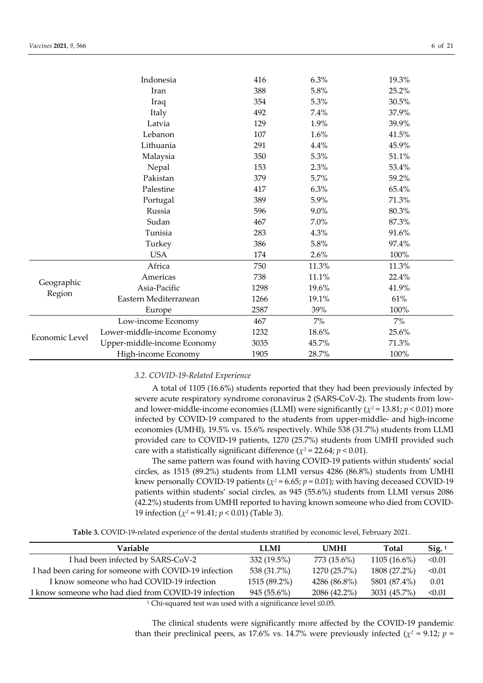|                | Indonesia                   | 416  | 6.3%    | 19.3% |  |
|----------------|-----------------------------|------|---------|-------|--|
|                | Iran                        | 388  | $5.8\%$ | 25.2% |  |
|                | Iraq                        | 354  | 5.3%    | 30.5% |  |
|                | Italy                       | 492  | 7.4%    | 37.9% |  |
|                | Latvia                      | 129  | 1.9%    | 39.9% |  |
|                | Lebanon                     | 107  | 1.6%    | 41.5% |  |
|                | Lithuania                   | 291  | 4.4%    | 45.9% |  |
|                | Malaysia                    | 350  | 5.3%    | 51.1% |  |
|                | Nepal                       | 153  | 2.3%    | 53.4% |  |
|                | Pakistan                    | 379  | 5.7%    | 59.2% |  |
|                | Palestine                   | 417  | 6.3%    | 65.4% |  |
|                | Portugal                    | 389  | 5.9%    | 71.3% |  |
|                | Russia                      | 596  | 9.0%    | 80.3% |  |
|                | Sudan                       | 467  | 7.0%    | 87.3% |  |
|                | Tunisia                     | 283  | 4.3%    | 91.6% |  |
|                | Turkey                      | 386  | 5.8%    | 97.4% |  |
|                | <b>USA</b>                  | 174  | 2.6%    | 100%  |  |
|                | Africa                      | 750  | 11.3%   | 11.3% |  |
|                | Americas                    | 738  | 11.1%   | 22.4% |  |
| Geographic     | Asia-Pacific                | 1298 | 19.6%   | 41.9% |  |
| Region         | Eastern Mediterranean       | 1266 | 19.1%   | 61%   |  |
|                | Europe                      | 2587 | 39%     | 100%  |  |
|                | Low-income Economy          | 467  | 7%      | 7%    |  |
|                | Lower-middle-income Economy | 1232 | 18.6%   | 25.6% |  |
| Economic Level | Upper-middle-income Economy | 3035 | 45.7%   | 71.3% |  |
|                | High-income Economy         | 1905 | 28.7%   | 100%  |  |

## *3.2. COVID-19-Related Experience*

A total of 1105 (16.6%) students reported that they had been previously infected by severe acute respiratory syndrome coronavirus 2 (SARS-CoV-2). The students from lowand lower-middle-income economies (LLMI) were significantly ( $\chi^2$  = 13.81;  $p$  < 0.01) more infected by COVID-19 compared to the students from upper-middle- and high-income economies (UMHI), 19.5% vs. 15.6% respectively. While 538 (31.7%) students from LLMI provided care to COVID-19 patients, 1270 (25.7%) students from UMHI provided such care with a statistically significant difference ( $\chi^2$  = 22.64;  $p$  < 0.01).

The same pattern was found with having COVID-19 patients within students' social circles, as 1515 (89.2%) students from LLMI versus 4286 (86.8%) students from UMHI knew personally COVID-19 patients ( $\chi^2$  = 6.65;  $p$  = 0.01); with having deceased COVID-19 patients within students' social circles, as 945 (55.6%) students from LLMI versus 2086 (42.2%) students from UMHI reported to having known someone who died from COVID-19 infection ( $\chi^2$  = 91.41;  $p < 0.01$ ) (Table 3).

**Table 3.** COVID-19-related experience of the dental students stratified by economic level, February 2021.

| Variable                                              | LLMI          | <b>UMHI</b>  | <b>Total</b>   | $\text{Sig.}^1$ |
|-------------------------------------------------------|---------------|--------------|----------------|-----------------|
| I had been infected by SARS-CoV-2                     | 332 (19.5%)   | 773 (15.6%)  | $1105(16.6\%)$ | < 0.01          |
| I had been caring for someone with COVID-19 infection | 538 (31.7%)   | 1270 (25.7%) | 1808 (27.2%)   | < 0.01          |
| I know someone who had COVID-19 infection             | 1515 (89.2%)  | 4286 (86.8%) | 5801 (87.4%)   | 0.01            |
| I know someone who had died from COVID-19 infection   | $945(55.6\%)$ | 2086 (42.2%) | 3031 (45.7%)   | < 0.01          |
|                                                       |               |              |                |                 |

1 Chi-squared test was used with a significance level ≤0.05.

The clinical students were significantly more affected by the COVID-19 pandemic than their preclinical peers, as 17.6% vs. 14.7% were previously infected ( $\chi^2$  = 9.12; *p* =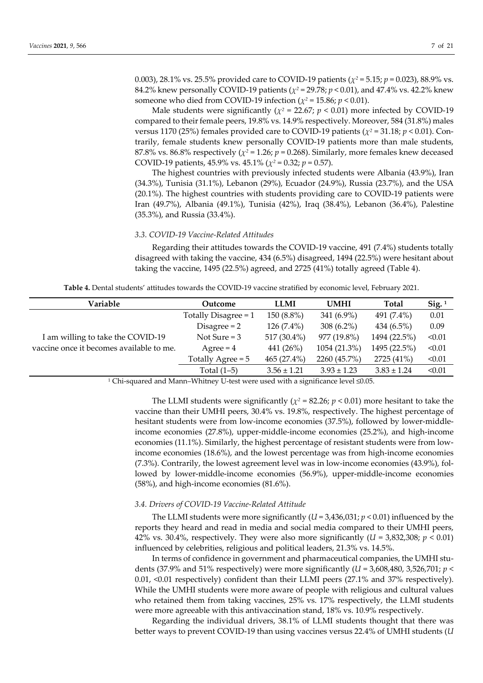0.003), 28.1% vs. 25.5% provided care to COVID-19 patients (*χ2* = 5.15; *p* = 0.023), 88.9% vs. 84.2% knew personally COVID-19 patients (*χ2* = 29.78; *p* < 0.01), and 47.4% vs. 42.2% knew someone who died from COVID-19 infection ( $\chi^2$  = 15.86;  $p$  < 0.01).

Male students were significantly ( $\chi^2$  = 22.67;  $p$  < 0.01) more infected by COVID-19 compared to their female peers, 19.8% vs. 14.9% respectively. Moreover, 584 (31.8%) males versus 1170 (25%) females provided care to COVID-19 patients ( $\chi^2$  = 31.18;  $p < 0.01$ ). Contrarily, female students knew personally COVID-19 patients more than male students, 87.8% vs. 86.8% respectively ( $\chi^2$  = 1.26;  $p$  = 0.268). Similarly, more females knew deceased COVID-19 patients, 45.9% vs. 45.1% (*χ2* = 0.32; *p* = 0.57).

The highest countries with previously infected students were Albania (43.9%), Iran (34.3%), Tunisia (31.1%), Lebanon (29%), Ecuador (24.9%), Russia (23.7%), and the USA (20.1%). The highest countries with students providing care to COVID-19 patients were Iran (49.7%), Albania (49.1%), Tunisia (42%), Iraq (38.4%), Lebanon (36.4%), Palestine (35.3%), and Russia (33.4%).

# *3.3. COVID-19 Vaccine-Related Attitudes*

Regarding their attitudes towards the COVID-19 vaccine, 491 (7.4%) students totally disagreed with taking the vaccine, 434 (6.5%) disagreed, 1494 (22.5%) were hesitant about taking the vaccine, 1495 (22.5%) agreed, and 2725 (41%) totally agreed (Table 4).

|  |  |  | <b>Table 4.</b> Dental students' attitudes towards the COVID-19 vaccine stratified by economic level. February 2021. |  |
|--|--|--|----------------------------------------------------------------------------------------------------------------------|--|
|  |  |  |                                                                                                                      |  |

| Variable                                 | Outcome                | <b>LLMI</b>     | <b>UMHI</b>     | <b>Total</b>    | $Sig.$ <sup>1</sup> |
|------------------------------------------|------------------------|-----------------|-----------------|-----------------|---------------------|
|                                          | Totally Disagree $= 1$ | 150 (8.8%)      | 341 (6.9%)      | 491 (7.4%)      | 0.01                |
|                                          | Disagree $= 2$         | $126(7.4\%)$    | $308(6.2\%)$    | 434 (6.5%)      | 0.09                |
| I am willing to take the COVID-19        | Not Sure $=$ 3         | 517 (30.4%)     | 977 (19.8%)     | 1494 (22.5%)    | < 0.01              |
| vaccine once it becomes available to me. | $Agree = 4$            | 441 (26%)       | 1054 (21.3%)    | 1495 (22.5%)    | < 0.01              |
|                                          | Totally Agree $= 5$    | 465(27.4%)      | 2260 (45.7%)    | 2725 (41%)      | < 0.01              |
|                                          | Total $(1-5)$          | $3.56 \pm 1.21$ | $3.93 \pm 1.23$ | $3.83 \pm 1.24$ | < 0.01              |

<sup>1</sup> Chi-squared and Mann–Whitney U-test were used with a significance level  $\leq 0.05$ .

The LLMI students were significantly ( $\chi^2$  = 82.26;  $p$  < 0.01) more hesitant to take the vaccine than their UMHI peers, 30.4% vs. 19.8%, respectively. The highest percentage of hesitant students were from low-income economies (37.5%), followed by lower-middleincome economies (27.8%), upper-middle-income economies (25.2%), and high-income economies (11.1%). Similarly, the highest percentage of resistant students were from lowincome economies (18.6%), and the lowest percentage was from high-income economies (7.3%). Contrarily, the lowest agreement level was in low-income economies (43.9%), followed by lower-middle-income economies (56.9%), upper-middle-income economies (58%), and high-income economies (81.6%).

## *3.4. Drivers of COVID-19 Vaccine-Related Attitude*

The LLMI students were more significantly (*U* = 3,436,031; *p* < 0.01) influenced by the reports they heard and read in media and social media compared to their UMHI peers, 42% vs. 30.4%, respectively. They were also more significantly  $(U = 3,832,308; p < 0.01)$ influenced by celebrities, religious and political leaders, 21.3% vs. 14.5%.

In terms of confidence in government and pharmaceutical companies, the UMHI students (37.9% and 51% respectively) were more significantly (*U* = 3,608,480, 3,526,701; *p* < 0.01, <0.01 respectively) confident than their LLMI peers (27.1% and 37% respectively). While the UMHI students were more aware of people with religious and cultural values who retained them from taking vaccines, 25% vs. 17% respectively, the LLMI students were more agreeable with this antivaccination stand, 18% vs. 10.9% respectively.

Regarding the individual drivers, 38.1% of LLMI students thought that there was better ways to prevent COVID-19 than using vaccines versus 22.4% of UMHI students (*U*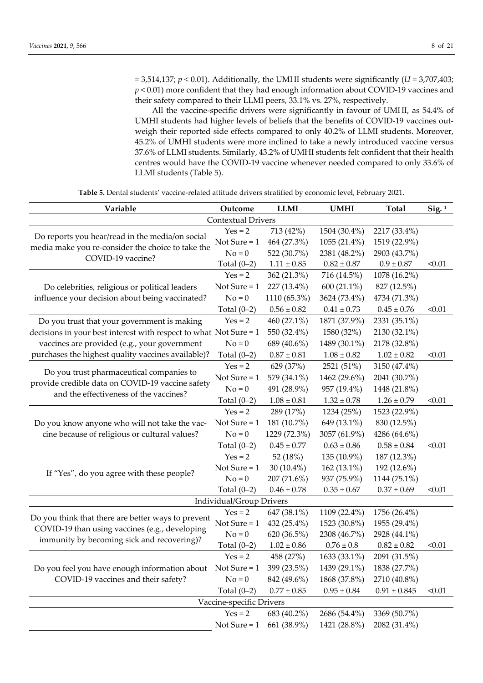$= 3,514,137; p < 0.01$ ). Additionally, the UMHI students were significantly ( $U = 3,707,403;$ *p* < 0.01) more confident that they had enough information about COVID-19 vaccines and their safety compared to their LLMI peers, 33.1% vs. 27%, respectively.

All the vaccine-specific drivers were significantly in favour of UMHI, as 54.4% of UMHI students had higher levels of beliefs that the benefits of COVID-19 vaccines outweigh their reported side effects compared to only 40.2% of LLMI students. Moreover, 45.2% of UMHI students were more inclined to take a newly introduced vaccine versus 37.6% of LLMI students. Similarly, 43.2% of UMHI students felt confident that their health centres would have the COVID-19 vaccine whenever needed compared to only 33.6% of LLMI students (Table 5).

| Variable                                                                                     | Outcome                   | <b>LLMI</b>     | <b>UMHI</b>     | <b>Total</b>     | Sig. <sup>1</sup> |
|----------------------------------------------------------------------------------------------|---------------------------|-----------------|-----------------|------------------|-------------------|
|                                                                                              | <b>Contextual Drivers</b> |                 |                 |                  |                   |
| Do reports you hear/read in the media/on social                                              | $Yes = 2$                 | 713 (42%)       | 1504 (30.4%)    | 2217 (33.4%)     |                   |
| media make you re-consider the choice to take the                                            | Not Sure $= 1$            | 464 (27.3%)     | 1055 (21.4%)    | 1519 (22.9%)     |                   |
| COVID-19 vaccine?                                                                            | $No = 0$                  | 522 (30.7%)     | 2381 (48.2%)    | 2903 (43.7%)     |                   |
|                                                                                              | Total $(0-2)$             | $1.11 \pm 0.85$ | $0.82\pm0.87$   | $0.9 \pm 0.87$   | < 0.01            |
|                                                                                              | $Yes = 2$                 | 362 (21.3%)     | 716 (14.5%)     | 1078 (16.2%)     |                   |
| Do celebrities, religious or political leaders                                               | Not Sure $= 1$            | 227 (13.4%)     | 600 (21.1%)     | 827 (12.5%)      |                   |
| influence your decision about being vaccinated?                                              | $No = 0$                  | 1110 (65.3%)    | 3624 (73.4%)    | 4734 (71.3%)     |                   |
|                                                                                              | Total $(0-2)$             | $0.56\pm0.82$   | $0.41 \pm 0.73$ | $0.45 \pm 0.76$  | < 0.01            |
| Do you trust that your government is making                                                  | $Yes = 2$                 | 460 (27.1%)     | 1871 (37.9%)    | 2331 (35.1%)     |                   |
| decisions in your best interest with respect to what Not Sure = 1                            |                           | 550 (32.4%)     | 1580 (32%)      | 2130 (32.1%)     |                   |
| vaccines are provided (e.g., your government                                                 | $No = 0$                  | 689 (40.6%)     | 1489 (30.1%)    | 2178 (32.8%)     |                   |
| purchases the highest quality vaccines available)?                                           | Total $(0-2)$             | $0.87 \pm 0.81$ | $1.08 \pm 0.82$ | $1.02 \pm 0.82$  | < 0.01            |
|                                                                                              | $Yes = 2$                 | 629 (37%)       | 2521 (51%)      | 3150 (47.4%)     |                   |
| Do you trust pharmaceutical companies to                                                     | Not Sure $= 1$            | 579 (34.1%)     | 1462 (29.6%)    | 2041 (30.7%)     |                   |
| provide credible data on COVID-19 vaccine safety<br>and the effectiveness of the vaccines?   | $No = 0$                  | 491 (28.9%)     | 957 (19.4%)     | 1448 (21.8%)     |                   |
|                                                                                              | Total $(0-2)$             | $1.08 \pm 0.81$ | $1.32 \pm 0.78$ | $1.26 \pm 0.79$  | < 0.01            |
|                                                                                              | $Yes = 2$                 | 289 (17%)       | 1234 (25%)      | 1523 (22.9%)     |                   |
| Do you know anyone who will not take the vac-                                                | Not Sure $= 1$            | 181 (10.7%)     | 649 (13.1%)     | 830 (12.5%)      |                   |
| cine because of religious or cultural values?                                                | $No = 0$                  | 1229 (72.3%)    | 3057 (61.9%)    | 4286 (64.6%)     |                   |
|                                                                                              | Total $(0-2)$             | $0.45 \pm 0.77$ | $0.63 \pm 0.86$ | $0.58 \pm 0.84$  | < 0.01            |
|                                                                                              | $Yes = 2$                 | 52 (18%)        | 135 (10.9%)     | 187 (12.3%)      |                   |
|                                                                                              | Not Sure $= 1$            | 30 $(10.4\%)$   | 162 (13.1%)     | 192 (12.6%)      |                   |
| If "Yes", do you agree with these people?                                                    | $No = 0$                  | 207 (71.6%)     | 937 (75.9%)     | 1144 (75.1%)     |                   |
|                                                                                              | Total $(0-2)$             | $0.46 \pm 0.78$ | $0.35 \pm 0.67$ | $0.37 \pm 0.69$  | < 0.01            |
|                                                                                              | Individual/Group Drivers  |                 |                 |                  |                   |
| Do you think that there are better ways to prevent                                           | $Yes = 2$                 | 647 (38.1%)     | 1109 (22.4%)    | 1756 (26.4%)     |                   |
|                                                                                              | Not Sure $= 1$            | 432 (25.4%)     | 1523 (30.8%)    | 1955 (29.4%)     |                   |
| COVID-19 than using vaccines (e.g., developing<br>immunity by becoming sick and recovering)? | $No = 0$                  | 620 (36.5%)     | 2308 (46.7%)    | 2928 (44.1%)     |                   |
|                                                                                              | Total $(0-2)$             | $1.02 \pm 0.86$ | $0.76 \pm 0.8$  | $0.82 \pm 0.82$  | < 0.01            |
|                                                                                              | $Yes = 2$                 | 458 (27%)       | 1633 (33.1%)    | 2091 (31.5%)     |                   |
| Do you feel you have enough information about                                                | Not Sure $= 1$            | 399 (23.5%)     | 1439 (29.1%)    | 1838 (27.7%)     |                   |
| COVID-19 vaccines and their safety?                                                          | $No = 0$                  | 842 (49.6%)     | 1868 (37.8%)    | 2710 (40.8%)     |                   |
|                                                                                              | Total $(0-2)$             | $0.77 \pm 0.85$ | $0.95 \pm 0.84$ | $0.91 \pm 0.845$ | < 0.01            |
|                                                                                              | Vaccine-specific Drivers  |                 |                 |                  |                   |
|                                                                                              | $Yes = 2$                 | 683 (40.2%)     | 2686 (54.4%)    | 3369 (50.7%)     |                   |
|                                                                                              | Not Sure $= 1$            | 661 (38.9%)     | 1421 (28.8%)    | 2082 (31.4%)     |                   |
|                                                                                              |                           |                 |                 |                  |                   |

**Table 5.** Dental students' vaccine-related attitude drivers stratified by economic level, February 2021.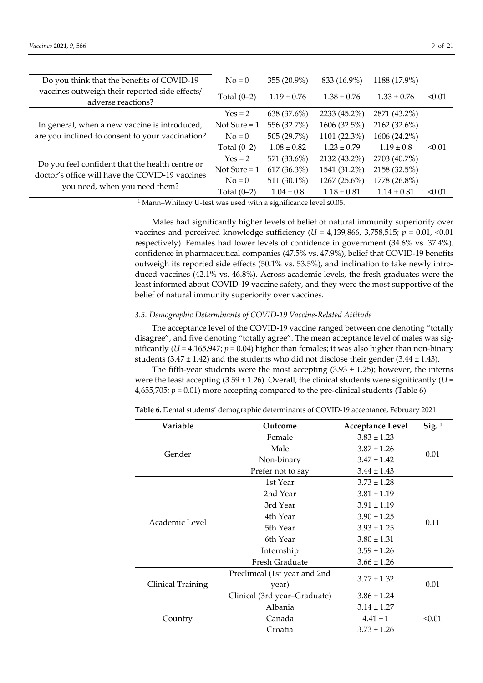| Do you think that the benefits of COVID-19                                                         | $No = 0$       | 355 (20.9%)     | 833 (16.9%)     | 1188 (17.9%)    |        |
|----------------------------------------------------------------------------------------------------|----------------|-----------------|-----------------|-----------------|--------|
| vaccines outweigh their reported side effects/<br>adverse reactions?                               | Total $(0-2)$  | $1.19 \pm 0.76$ | $1.38 \pm 0.76$ | $1.33 \pm 0.76$ | < 0.01 |
|                                                                                                    | $Yes = 2$      | 638 (37.6%)     | 2233 (45.2%)    | 2871 (43.2%)    |        |
| In general, when a new vaccine is introduced,                                                      | Not Sure $= 1$ | 556 (32.7%)     | 1606 (32.5%)    | 2162 (32.6%)    |        |
| are you inclined to consent to your vaccination?                                                   | $No = 0$       | 505 (29.7%)     | 1101 (22.3%)    | 1606 (24.2%)    |        |
|                                                                                                    | Total $(0-2)$  | $1.08 \pm 0.82$ | $1.23 \pm 0.79$ | $1.19 \pm 0.8$  | < 0.01 |
|                                                                                                    | $Yes = 2$      | 571 (33.6%)     | 2132 (43.2%)    | 2703 (40.7%)    |        |
| Do you feel confident that the health centre or<br>doctor's office will have the COVID-19 vaccines | Not Sure = $1$ | $617(36.3\%)$   | 1541 (31.2%)    | 2158 (32.5%)    |        |
| you need, when you need them?                                                                      | $No = 0$       | 511 (30.1%)     | $1267(25.6\%)$  | 1778 (26.8%)    |        |
|                                                                                                    | Total $(0-2)$  | $1.04 \pm 0.8$  | $1.18 \pm 0.81$ | $1.14 \pm 0.81$ | < 0.01 |

1 Mann–Whitney U-test was used with a significance level ≤0.05.

Males had significantly higher levels of belief of natural immunity superiority over vaccines and perceived knowledge sufficiency (*U* = 4,139,866, 3,758,515; *p* = 0.01, <0.01 respectively). Females had lower levels of confidence in government (34.6% vs. 37.4%), confidence in pharmaceutical companies (47.5% vs. 47.9%), belief that COVID-19 benefits outweigh its reported side effects (50.1% vs. 53.5%), and inclination to take newly introduced vaccines (42.1% vs. 46.8%). Across academic levels, the fresh graduates were the least informed about COVID-19 vaccine safety, and they were the most supportive of the belief of natural immunity superiority over vaccines.

# *3.5. Demographic Determinants of COVID-19 Vaccine-Related Attitude*

The acceptance level of the COVID-19 vaccine ranged between one denoting "totally disagree", and five denoting "totally agree". The mean acceptance level of males was significantly ( $U = 4,165,947$ ;  $p = 0.04$ ) higher than females; it was also higher than non-binary students  $(3.47 \pm 1.42)$  and the students who did not disclose their gender  $(3.44 \pm 1.43)$ .

The fifth-year students were the most accepting  $(3.93 \pm 1.25)$ ; however, the interns were the least accepting  $(3.59 \pm 1.26)$ . Overall, the clinical students were significantly  $(U =$  $4,655,705; p = 0.01$ ) more accepting compared to the pre-clinical students (Table 6).

| Variable          | Outcome                       | <b>Acceptance Level</b> | $\text{Sig.}^1$ |
|-------------------|-------------------------------|-------------------------|-----------------|
|                   | Female                        | $3.83 \pm 1.23$         |                 |
| Gender            | Male                          | $3.87 \pm 1.26$         |                 |
|                   | Non-binary                    | $3.47 \pm 1.42$         | 0.01            |
|                   | Prefer not to say             | $3.44 \pm 1.43$         |                 |
|                   | 1st Year                      | $3.73 \pm 1.28$         |                 |
|                   | 2nd Year                      | $3.81 \pm 1.19$         |                 |
|                   | 3rd Year                      | $3.91 \pm 1.19$         |                 |
| Academic Level    | 4th Year                      | $3.90 \pm 1.25$         |                 |
|                   | 5th Year                      | $3.93 \pm 1.25$         | 0.11            |
|                   | 6th Year                      | $3.80 \pm 1.31$         |                 |
|                   | Internship                    | $3.59 \pm 1.26$         |                 |
|                   | Fresh Graduate                | $3.66 \pm 1.26$         |                 |
|                   | Preclinical (1st year and 2nd |                         |                 |
| Clinical Training | year)                         | $3.77 \pm 1.32$         | 0.01            |
|                   | Clinical (3rd year-Graduate)  | $3.86 \pm 1.24$         |                 |
|                   | Albania                       | $3.14 \pm 1.27$         |                 |
| Country           | Canada                        | $4.41 \pm 1$            | < 0.01          |
|                   | Croatia                       | $3.73 \pm 1.26$         |                 |
|                   |                               |                         |                 |

**Table 6.** Dental students' demographic determinants of COVID-19 acceptance, February 2021.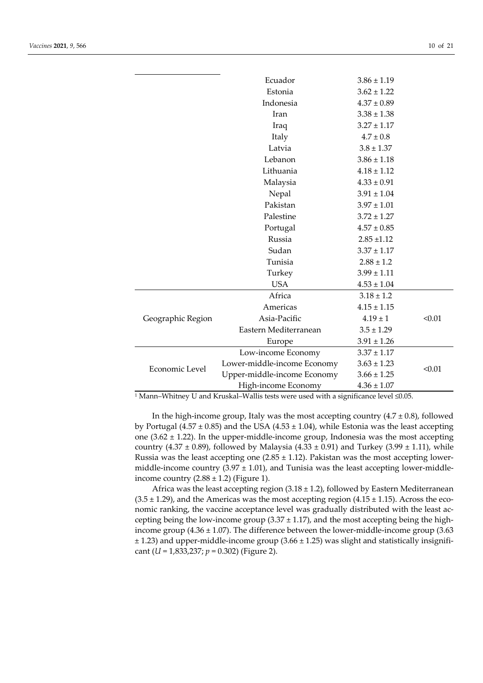|                   | Ecuador                     | $3.86 \pm 1.19$ |        |
|-------------------|-----------------------------|-----------------|--------|
|                   | Estonia                     | $3.62 \pm 1.22$ |        |
|                   | Indonesia                   | $4.37 \pm 0.89$ |        |
|                   | Iran                        | $3.38 \pm 1.38$ |        |
|                   | Iraq                        | $3.27 \pm 1.17$ |        |
|                   | Italy                       | $4.7 \pm 0.8$   |        |
|                   | Latvia                      | $3.8 \pm 1.37$  |        |
|                   | Lebanon                     | $3.86 \pm 1.18$ |        |
|                   | Lithuania                   | $4.18 \pm 1.12$ |        |
|                   | Malaysia                    | $4.33 \pm 0.91$ |        |
|                   | Nepal                       | $3.91 \pm 1.04$ |        |
|                   | Pakistan                    | $3.97 \pm 1.01$ |        |
|                   | Palestine                   | $3.72 \pm 1.27$ |        |
|                   | Portugal                    | $4.57 \pm 0.85$ |        |
|                   | Russia                      | $2.85 \pm 1.12$ |        |
|                   | Sudan                       | $3.37 \pm 1.17$ |        |
|                   | Tunisia                     | $2.88 \pm 1.2$  |        |
|                   | Turkey                      | $3.99 \pm 1.11$ |        |
|                   | <b>USA</b>                  | $4.53 \pm 1.04$ |        |
|                   | Africa                      | $3.18 \pm 1.2$  |        |
|                   | Americas                    | $4.15 \pm 1.15$ |        |
| Geographic Region | Asia-Pacific                | $4.19 \pm 1$    | < 0.01 |
|                   | Eastern Mediterranean       | $3.5 \pm 1.29$  |        |
|                   | Europe                      | $3.91 \pm 1.26$ |        |
|                   | Low-income Economy          | $3.37 \pm 1.17$ |        |
| Economic Level    | Lower-middle-income Economy | $3.63 \pm 1.23$ | < 0.01 |
|                   | Upper-middle-income Economy | $3.66 \pm 1.25$ |        |
|                   | High-income Economy         | $4.36 \pm 1.07$ |        |

1 Mann–Whitney U and Kruskal–Wallis tests were used with a significance level ≤0.05.

In the high-income group, Italy was the most accepting country  $(4.7 \pm 0.8)$ , followed by Portugal (4.57  $\pm$  0.85) and the USA (4.53  $\pm$  1.04), while Estonia was the least accepting one  $(3.62 \pm 1.22)$ . In the upper-middle-income group, Indonesia was the most accepting country (4.37 ± 0.89), followed by Malaysia (4.33 ± 0.91) and Turkey (3.99 ± 1.11), while Russia was the least accepting one  $(2.85 \pm 1.12)$ . Pakistan was the most accepting lowermiddle-income country  $(3.97 \pm 1.01)$ , and Tunisia was the least accepting lower-middleincome country  $(2.88 \pm 1.2)$  (Figure 1).

Africa was the least accepting region  $(3.18 \pm 1.2)$ , followed by Eastern Mediterranean  $(3.5 \pm 1.29)$ , and the Americas was the most accepting region  $(4.15 \pm 1.15)$ . Across the economic ranking, the vaccine acceptance level was gradually distributed with the least accepting being the low-income group  $(3.37 \pm 1.17)$ , and the most accepting being the highincome group  $(4.36 \pm 1.07)$ . The difference between the lower-middle-income group  $(3.63$  $± 1.23$ ) and upper-middle-income group (3.66  $± 1.25$ ) was slight and statistically insignificant (*U* = 1,833,237; *p* = 0.302) (Figure 2).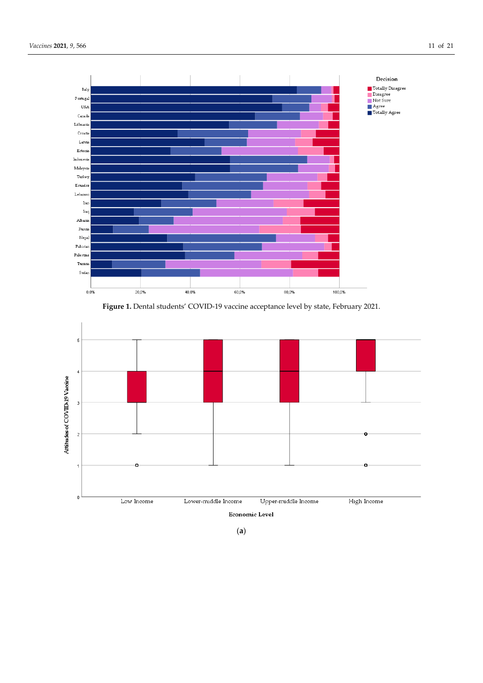

Figure 1. Dental students' COVID-19 vaccine acceptance level by state, February 2021.



(**a**)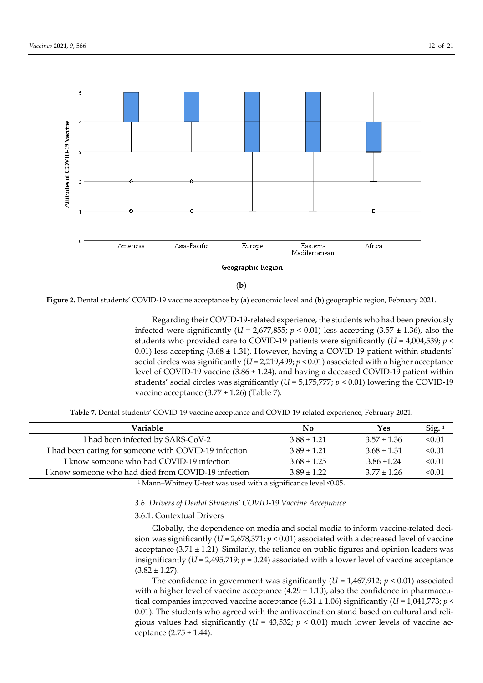

(**b**)

**Figure 2.** Dental students' COVID-19 vaccine acceptance by (**a**) economic level and (**b**) geographic region, February 2021.

Regarding their COVID-19-related experience, the students who had been previously infected were significantly ( $U = 2.677,855$ ;  $p < 0.01$ ) less accepting (3.57 ± 1.36), also the students who provided care to COVID-19 patients were significantly (*U* = 4,004,539; *p* < 0.01) less accepting  $(3.68 \pm 1.31)$ . However, having a COVID-19 patient within students' social circles was significantly  $(U = 2,219,499; p < 0.01)$  associated with a higher acceptance level of COVID-19 vaccine (3.86 ± 1.24), and having a deceased COVID-19 patient within students' social circles was significantly (*U* = 5,175,777; *p* < 0.01) lowering the COVID-19 vaccine acceptance  $(3.77 \pm 1.26)$  (Table 7).

**Table 7.** Dental students' COVID-19 vaccine acceptance and COVID-19-related experience, February 2021.

| Variable                                                                                                 | No              | Yes             | $\text{Sig.}1$ |
|----------------------------------------------------------------------------------------------------------|-----------------|-----------------|----------------|
| I had been infected by SARS-CoV-2                                                                        | $3.88 \pm 1.21$ | $3.57 \pm 1.36$ | < 0.01         |
| I had been caring for someone with COVID-19 infection                                                    | $3.89 \pm 1.21$ | $3.68 \pm 1.31$ | < 0.01         |
| I know someone who had COVID-19 infection                                                                | $3.68 \pm 1.25$ | $3.86 \pm 1.24$ | < 0.01         |
| I know someone who had died from COVID-19 infection                                                      | $3.89 \pm 1.22$ | $3.77 \pm 1.26$ | < 0.01         |
| $1\ M_{\odot}$ and $M_{\odot}$ the set II tool case as a decident of $\mu$ and $\mu$ and $\mu$ and $\pi$ |                 |                 |                |

1 Mann–Whitney U-test was used with a significance level ≤0.05.

## *3.6. Drivers of Dental Students' COVID-19 Vaccine Acceptance*

## 3.6.1. Contextual Drivers

Globally, the dependence on media and social media to inform vaccine-related decision was significantly  $(U = 2.678.371; p < 0.01)$  associated with a decreased level of vaccine acceptance  $(3.71 \pm 1.21)$ . Similarly, the reliance on public figures and opinion leaders was insignificantly  $(U = 2,495,719; p = 0.24)$  associated with a lower level of vaccine acceptance  $(3.82 \pm 1.27)$ .

The confidence in government was significantly (*U* = 1,467,912; *p* < 0.01) associated with a higher level of vaccine acceptance  $(4.29 \pm 1.10)$ , also the confidence in pharmaceutical companies improved vaccine acceptance  $(4.31 \pm 1.06)$  significantly  $(U = 1.041,773; p <$ 0.01). The students who agreed with the antivaccination stand based on cultural and religious values had significantly ( $U = 43,532$ ;  $p < 0.01$ ) much lower levels of vaccine acceptance  $(2.75 \pm 1.44)$ .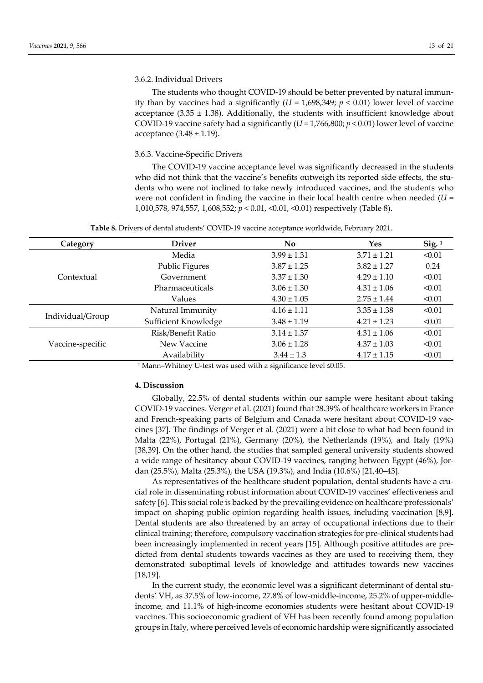## 3.6.2. Individual Drivers

The students who thought COVID-19 should be better prevented by natural immunity than by vaccines had a significantly  $(U = 1,698,349; p < 0.01)$  lower level of vaccine acceptance (3.35  $\pm$  1.38). Additionally, the students with insufficient knowledge about COVID-19 vaccine safety had a significantly (*U* = 1,766,800; *p* < 0.01) lower level of vaccine acceptance  $(3.48 \pm 1.19)$ .

## 3.6.3. Vaccine-Specific Drivers

The COVID-19 vaccine acceptance level was significantly decreased in the students who did not think that the vaccine's benefits outweigh its reported side effects, the students who were not inclined to take newly introduced vaccines, and the students who were not confident in finding the vaccine in their local health centre when needed (*U* = 1,010,578, 974,557, 1,608,552; *p* < 0.01, <0.01, <0.01) respectively (Table 8).

**Table 8.** Drivers of dental students' COVID-19 vaccine acceptance worldwide, February 2021.

| Category         | <b>Driver</b>        | No              | <b>Yes</b>      | $Sig.$ <sup>1</sup> |
|------------------|----------------------|-----------------|-----------------|---------------------|
|                  | Media                | $3.99 \pm 1.31$ | $3.71 \pm 1.21$ | < 0.01              |
|                  | Public Figures       | $3.87 \pm 1.25$ | $3.82 \pm 1.27$ | 0.24                |
| Contextual       | Government           | $3.37 \pm 1.30$ | $4.29 \pm 1.10$ | < 0.01              |
|                  | Pharmaceuticals      | $3.06 \pm 1.30$ | $4.31 \pm 1.06$ | < 0.01              |
|                  | Values               | $4.30 \pm 1.05$ | $2.75 \pm 1.44$ | < 0.01              |
|                  | Natural Immunity     | $4.16 \pm 1.11$ | $3.35 \pm 1.38$ | < 0.01              |
| Individual/Group | Sufficient Knowledge | $3.48 \pm 1.19$ | $4.21 \pm 1.23$ | < 0.01              |
|                  | Risk/Benefit Ratio   | $3.14 \pm 1.37$ | $4.31 \pm 1.06$ | < 0.01              |
| Vaccine-specific | New Vaccine          | $3.06 \pm 1.28$ | $4.37 \pm 1.03$ | < 0.01              |
|                  | Availability         | $3.44 \pm 1.3$  | $4.17 \pm 1.15$ | < 0.01              |

1 Mann–Whitney U-test was used with a significance level ≤0.05.

# **4. Discussion**

Globally, 22.5% of dental students within our sample were hesitant about taking COVID-19 vaccines. Verger et al. (2021) found that 28.39% of healthcare workers in France and French-speaking parts of Belgium and Canada were hesitant about COVID-19 vaccines [37]. The findings of Verger et al. (2021) were a bit close to what had been found in Malta (22%), Portugal (21%), Germany (20%), the Netherlands (19%), and Italy (19%) [38,39]. On the other hand, the studies that sampled general university students showed a wide range of hesitancy about COVID-19 vaccines, ranging between Egypt (46%), Jordan (25.5%), Malta (25.3%), the USA (19.3%), and India (10.6%) [21,40–43].

As representatives of the healthcare student population, dental students have a crucial role in disseminating robust information about COVID-19 vaccines' effectiveness and safety [6]. This social role is backed by the prevailing evidence on healthcare professionals' impact on shaping public opinion regarding health issues, including vaccination [8,9]. Dental students are also threatened by an array of occupational infections due to their clinical training; therefore, compulsory vaccination strategies for pre-clinical students had been increasingly implemented in recent years [15]. Although positive attitudes are predicted from dental students towards vaccines as they are used to receiving them, they demonstrated suboptimal levels of knowledge and attitudes towards new vaccines [18,19].

In the current study, the economic level was a significant determinant of dental students' VH, as 37.5% of low-income, 27.8% of low-middle-income, 25.2% of upper-middleincome, and 11.1% of high-income economies students were hesitant about COVID-19 vaccines. This socioeconomic gradient of VH has been recently found among population groups in Italy, where perceived levels of economic hardship were significantly associated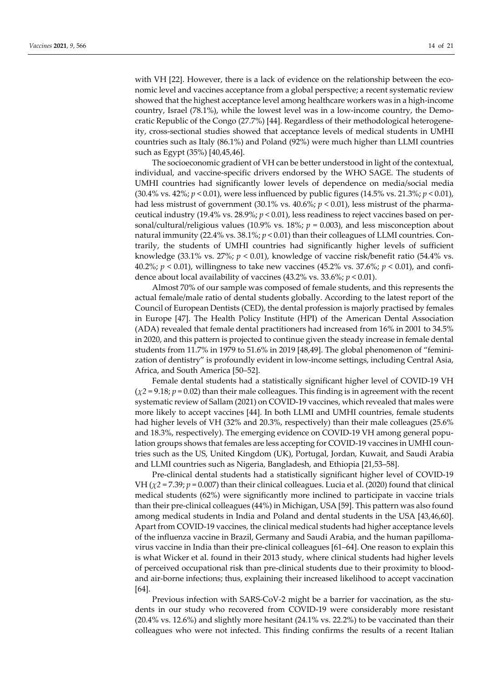with VH [22]. However, there is a lack of evidence on the relationship between the economic level and vaccines acceptance from a global perspective; a recent systematic review showed that the highest acceptance level among healthcare workers was in a high-income country, Israel (78.1%), while the lowest level was in a low-income country, the Democratic Republic of the Congo (27.7%) [44]. Regardless of their methodological heterogeneity, cross-sectional studies showed that acceptance levels of medical students in UMHI countries such as Italy (86.1%) and Poland (92%) were much higher than LLMI countries such as Egypt (35%) [40,45,46].

The socioeconomic gradient of VH can be better understood in light of the contextual, individual, and vaccine-specific drivers endorsed by the WHO SAGE. The students of UMHI countries had significantly lower levels of dependence on media/social media (30.4% vs. 42%; *p* < 0.01), were less influenced by public figures (14.5% vs. 21.3%; *p* < 0.01), had less mistrust of government (30.1% vs. 40.6%; *p* < 0.01), less mistrust of the pharmaceutical industry (19.4% vs. 28.9%; *p* < 0.01), less readiness to reject vaccines based on personal/cultural/religious values (10.9% vs. 18%; *p* = 0.003), and less misconception about natural immunity (22.4% vs. 38.1%;  $p < 0.01$ ) than their colleagues of LLMI countries. Contrarily, the students of UMHI countries had significantly higher levels of sufficient knowledge (33.1% vs. 27%;  $p < 0.01$ ), knowledge of vaccine risk/benefit ratio (54.4% vs. 40.2%; *p* < 0.01), willingness to take new vaccines (45.2% vs. 37.6%; *p* < 0.01), and confidence about local availability of vaccines (43.2% vs. 33.6%; *p* < 0.01).

Almost 70% of our sample was composed of female students, and this represents the actual female/male ratio of dental students globally. According to the latest report of the Council of European Dentists (CED), the dental profession is majorly practised by females in Europe [47]. The Health Policy Institute (HPI) of the American Dental Association (ADA) revealed that female dental practitioners had increased from 16% in 2001 to 34.5% in 2020, and this pattern is projected to continue given the steady increase in female dental students from 11.7% in 1979 to 51.6% in 2019 [48,49]. The global phenomenon of "feminization of dentistry" is profoundly evident in low-income settings, including Central Asia, Africa, and South America [50–52].

Female dental students had a statistically significant higher level of COVID-19 VH  $(\chi^2 = 9.18; p = 0.02)$  than their male colleagues. This finding is in agreement with the recent systematic review of Sallam (2021) on COVID-19 vaccines, which revealed that males were more likely to accept vaccines [44]. In both LLMI and UMHI countries, female students had higher levels of VH (32% and 20.3%, respectively) than their male colleagues (25.6% and 18.3%, respectively). The emerging evidence on COVID-19 VH among general population groups shows that females are less accepting for COVID-19 vaccines in UMHI countries such as the US, United Kingdom (UK), Portugal, Jordan, Kuwait, and Saudi Arabia and LLMI countries such as Nigeria, Bangladesh, and Ethiopia [21,53–58].

Pre-clinical dental students had a statistically significant higher level of COVID-19 VH ( $\chi$ <sup>2</sup> = 7.39;  $p$  = 0.007) than their clinical colleagues. Lucia et al. (2020) found that clinical medical students (62%) were significantly more inclined to participate in vaccine trials than their pre-clinical colleagues (44%) in Michigan, USA [59]. This pattern was also found among medical students in India and Poland and dental students in the USA [43,46,60]. Apart from COVID-19 vaccines, the clinical medical students had higher acceptance levels of the influenza vaccine in Brazil, Germany and Saudi Arabia, and the human papillomavirus vaccine in India than their pre-clinical colleagues [61–64]. One reason to explain this is what Wicker et al. found in their 2013 study, where clinical students had higher levels of perceived occupational risk than pre-clinical students due to their proximity to bloodand air-borne infections; thus, explaining their increased likelihood to accept vaccination [64].

Previous infection with SARS-CoV-2 might be a barrier for vaccination, as the students in our study who recovered from COVID-19 were considerably more resistant (20.4% vs. 12.6%) and slightly more hesitant (24.1% vs. 22.2%) to be vaccinated than their colleagues who were not infected. This finding confirms the results of a recent Italian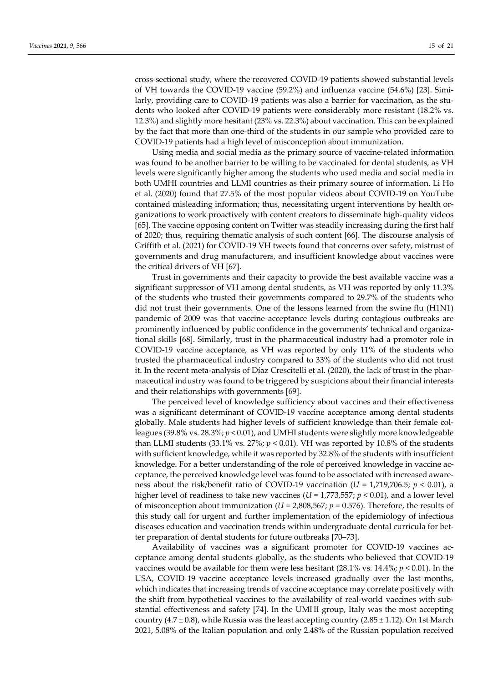cross-sectional study, where the recovered COVID-19 patients showed substantial levels of VH towards the COVID-19 vaccine (59.2%) and influenza vaccine (54.6%) [23]. Similarly, providing care to COVID-19 patients was also a barrier for vaccination, as the students who looked after COVID-19 patients were considerably more resistant (18.2% vs. 12.3%) and slightly more hesitant (23% vs. 22.3%) about vaccination. This can be explained by the fact that more than one-third of the students in our sample who provided care to COVID-19 patients had a high level of misconception about immunization.

Using media and social media as the primary source of vaccine-related information was found to be another barrier to be willing to be vaccinated for dental students, as VH levels were significantly higher among the students who used media and social media in both UMHI countries and LLMI countries as their primary source of information. Li Ho et al. (2020) found that 27.5% of the most popular videos about COVID-19 on YouTube contained misleading information; thus, necessitating urgent interventions by health organizations to work proactively with content creators to disseminate high-quality videos [65]. The vaccine opposing content on Twitter was steadily increasing during the first half of 2020; thus, requiring thematic analysis of such content [66]. The discourse analysis of Griffith et al. (2021) for COVID-19 VH tweets found that concerns over safety, mistrust of governments and drug manufacturers, and insufficient knowledge about vaccines were the critical drivers of VH [67].

Trust in governments and their capacity to provide the best available vaccine was a significant suppressor of VH among dental students, as VH was reported by only 11.3% of the students who trusted their governments compared to 29.7% of the students who did not trust their governments. One of the lessons learned from the swine flu (H1N1) pandemic of 2009 was that vaccine acceptance levels during contagious outbreaks are prominently influenced by public confidence in the governments' technical and organizational skills [68]. Similarly, trust in the pharmaceutical industry had a promoter role in COVID-19 vaccine acceptance, as VH was reported by only 11% of the students who trusted the pharmaceutical industry compared to 33% of the students who did not trust it. In the recent meta-analysis of Díaz Crescitelli et al. (2020), the lack of trust in the pharmaceutical industry was found to be triggered by suspicions about their financial interests and their relationships with governments [69].

The perceived level of knowledge sufficiency about vaccines and their effectiveness was a significant determinant of COVID-19 vaccine acceptance among dental students globally. Male students had higher levels of sufficient knowledge than their female colleagues (39.8% vs. 28.3%; *p* < 0.01), and UMHI students were slightly more knowledgeable than LLMI students  $(33.1\% \text{ vs. } 27\%; p < 0.01)$ . VH was reported by 10.8% of the students with sufficient knowledge, while it was reported by 32.8% of the students with insufficient knowledge. For a better understanding of the role of perceived knowledge in vaccine acceptance, the perceived knowledge level was found to be associated with increased awareness about the risk/benefit ratio of COVID-19 vaccination ( $U = 1.719,706.5$ ;  $p < 0.01$ ), a higher level of readiness to take new vaccines  $(U = 1.773.557; p < 0.01)$ , and a lower level of misconception about immunization ( $U = 2,808,567$ ;  $p = 0.576$ ). Therefore, the results of this study call for urgent and further implementation of the epidemiology of infectious diseases education and vaccination trends within undergraduate dental curricula for better preparation of dental students for future outbreaks [70–73].

Availability of vaccines was a significant promoter for COVID-19 vaccines acceptance among dental students globally, as the students who believed that COVID-19 vaccines would be available for them were less hesitant (28.1% vs. 14.4%; *p* < 0.01). In the USA, COVID-19 vaccine acceptance levels increased gradually over the last months, which indicates that increasing trends of vaccine acceptance may correlate positively with the shift from hypothetical vaccines to the availability of real-world vaccines with substantial effectiveness and safety [74]. In the UMHI group, Italy was the most accepting country  $(4.7 \pm 0.8)$ , while Russia was the least accepting country  $(2.85 \pm 1.12)$ . On 1st March 2021, 5.08% of the Italian population and only 2.48% of the Russian population received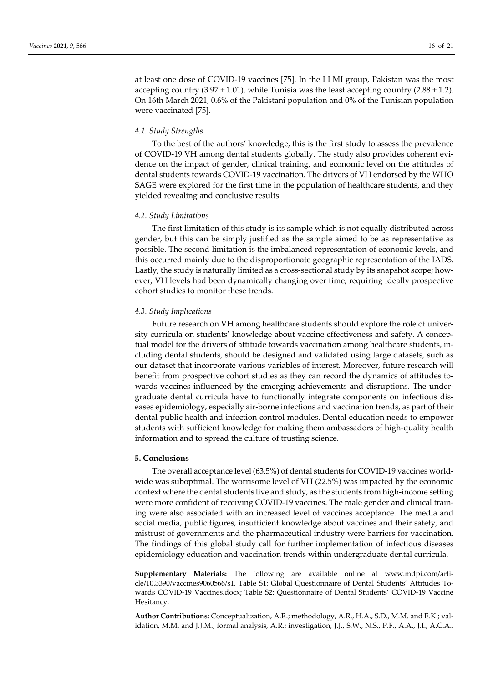at least one dose of COVID-19 vaccines [75]. In the LLMI group, Pakistan was the most accepting country  $(3.97 \pm 1.01)$ , while Tunisia was the least accepting country  $(2.88 \pm 1.2)$ . On 16th March 2021, 0.6% of the Pakistani population and 0% of the Tunisian population were vaccinated [75].

## *4.1. Study Strengths*

To the best of the authors' knowledge, this is the first study to assess the prevalence of COVID-19 VH among dental students globally. The study also provides coherent evidence on the impact of gender, clinical training, and economic level on the attitudes of dental students towards COVID-19 vaccination. The drivers of VH endorsed by the WHO SAGE were explored for the first time in the population of healthcare students, and they yielded revealing and conclusive results.

## *4.2. Study Limitations*

The first limitation of this study is its sample which is not equally distributed across gender, but this can be simply justified as the sample aimed to be as representative as possible. The second limitation is the imbalanced representation of economic levels, and this occurred mainly due to the disproportionate geographic representation of the IADS. Lastly, the study is naturally limited as a cross-sectional study by its snapshot scope; however, VH levels had been dynamically changing over time, requiring ideally prospective cohort studies to monitor these trends.

## *4.3. Study Implications*

Future research on VH among healthcare students should explore the role of university curricula on students' knowledge about vaccine effectiveness and safety. A conceptual model for the drivers of attitude towards vaccination among healthcare students, including dental students, should be designed and validated using large datasets, such as our dataset that incorporate various variables of interest. Moreover, future research will benefit from prospective cohort studies as they can record the dynamics of attitudes towards vaccines influenced by the emerging achievements and disruptions. The undergraduate dental curricula have to functionally integrate components on infectious diseases epidemiology, especially air-borne infections and vaccination trends, as part of their dental public health and infection control modules. Dental education needs to empower students with sufficient knowledge for making them ambassadors of high-quality health information and to spread the culture of trusting science.

## **5. Conclusions**

The overall acceptance level (63.5%) of dental students for COVID-19 vaccines worldwide was suboptimal. The worrisome level of VH (22.5%) was impacted by the economic context where the dental students live and study, as the students from high-income setting were more confident of receiving COVID-19 vaccines. The male gender and clinical training were also associated with an increased level of vaccines acceptance. The media and social media, public figures, insufficient knowledge about vaccines and their safety, and mistrust of governments and the pharmaceutical industry were barriers for vaccination. The findings of this global study call for further implementation of infectious diseases epidemiology education and vaccination trends within undergraduate dental curricula.

**Supplementary Materials:** The following are available online at www.mdpi.com/article/10.3390/vaccines9060566/s1, Table S1: Global Questionnaire of Dental Students' Attitudes Towards COVID-19 Vaccines.docx; Table S2: Questionnaire of Dental Students' COVID-19 Vaccine Hesitancy.

**Author Contributions:** Conceptualization, A.R.; methodology, A.R., H.A., S.D., M.M. and E.K.; validation, M.M. and J.J.M.; formal analysis, A.R.; investigation, J.J., S.W., N.S., P.F., A.A., J.I., A.C.A.,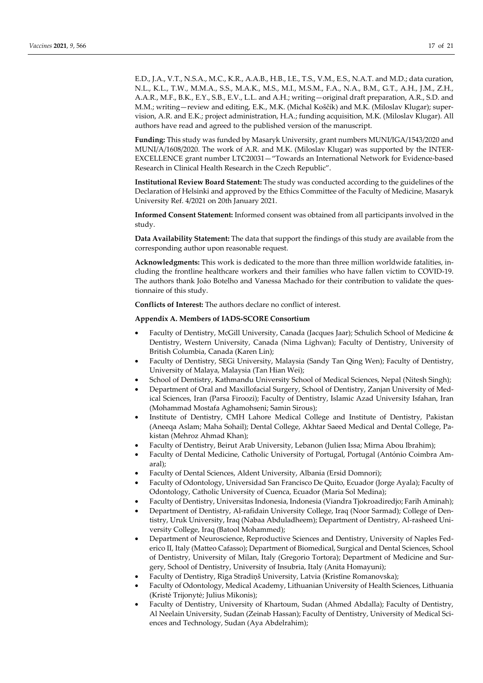E.D., J.A., V.T., N.S.A., M.C., K.R., A.A.B., H.B., I.E., T.S., V.M., E.S., N.A.T. and M.D.; data curation, N.L., K.L., T.W., M.M.A., S.S., M.A.K., M.S., M.I., M.S.M., F.A., N.A., B.M., G.T., A.H., J.M., Z.H., A.A.R., M.F., B.K., E.Y., S.B., E.V., L.L. and A.H.; writing—original draft preparation, A.R., S.D. and M.M.; writing—review and editing, E.K., M.K. (Michal Koščík) and M.K. (Miloslav Klugar); supervision, A.R. and E.K.; project administration, H.A.; funding acquisition, M.K. (Miloslav Klugar). All authors have read and agreed to the published version of the manuscript.

**Funding:** This study was funded by Masaryk University, grant numbers MUNI/IGA/1543/2020 and MUNI/A/1608/2020. The work of A.R. and M.K. (Miloslav Klugar) was supported by the INTER-EXCELLENCE grant number LTC20031—"Towards an International Network for Evidence-based Research in Clinical Health Research in the Czech Republic".

**Institutional Review Board Statement:** The study was conducted according to the guidelines of the Declaration of Helsinki and approved by the Ethics Committee of the Faculty of Medicine, Masaryk University Ref. 4/2021 on 20th January 2021.

**Informed Consent Statement:** Informed consent was obtained from all participants involved in the study.

**Data Availability Statement:** The data that support the findings of this study are available from the corresponding author upon reasonable request.

**Acknowledgments:** This work is dedicated to the more than three million worldwide fatalities, including the frontline healthcare workers and their families who have fallen victim to COVID-19. The authors thank João Botelho and Vanessa Machado for their contribution to validate the questionnaire of this study.

**Conflicts of Interest:** The authors declare no conflict of interest.

## **Appendix A. Members of IADS-SCORE Consortium**

- Faculty of Dentistry, McGill University, Canada (Jacques Jaar); Schulich School of Medicine & Dentistry, Western University, Canada (Nima Lighvan); Faculty of Dentistry, University of British Columbia, Canada (Karen Lin);
- Faculty of Dentistry, SEGi University, Malaysia (Sandy Tan Qing Wen); Faculty of Dentistry, University of Malaya, Malaysia (Tan Hian Wei);
- School of Dentistry, Kathmandu University School of Medical Sciences, Nepal (Nitesh Singh);
- Department of Oral and Maxillofacial Surgery, School of Dentistry, Zanjan University of Medical Sciences, Iran (Parsa Firoozi); Faculty of Dentistry, Islamic Azad University Isfahan, Iran (Mohammad Mostafa Aghamohseni; Samin Sirous);
- Institute of Dentistry, CMH Lahore Medical College and Institute of Dentistry, Pakistan (Aneeqa Aslam; Maha Sohail); Dental College, Akhtar Saeed Medical and Dental College, Pakistan (Mehroz Ahmad Khan);
- Faculty of Dentistry, Beirut Arab University, Lebanon (Julien Issa; Mirna Abou Ibrahim);
- Faculty of Dental Medicine, Catholic University of Portugal, Portugal (António Coimbra Amaral);
- Faculty of Dental Sciences, Aldent University, Albania (Ersid Domnori);
- Faculty of Odontology, Universidad San Francisco De Quito, Ecuador (Jorge Ayala); Faculty of Odontology, Catholic University of Cuenca, Ecuador (Maria Sol Medina);
- Faculty of Dentistry, Universitas Indonesia, Indonesia (Viandra Tjokroadiredjo; Farih Aminah);
- Department of Dentistry, Al-rafidain University College, Iraq (Noor Sarmad); College of Dentistry, Uruk University, Iraq (Nabaa Abduladheem); Department of Dentistry, Al-rasheed University College, Iraq (Batool Mohammed);
- Department of Neuroscience, Reproductive Sciences and Dentistry, University of Naples Federico II, Italy (Matteo Cafasso); Department of Biomedical, Surgical and Dental Sciences, School of Dentistry, University of Milan, Italy (Gregorio Tortora); Department of Medicine and Surgery, School of Dentistry, University of Insubria, Italy (Anita Homayuni);
- Faculty of Dentistry, Rīga Stradiņš University, Latvia (Kristīne Romanovska);
- Faculty of Odontology, Medical Academy, Lithuanian University of Health Sciences, Lithuania (Kristė Trijonytė; Julius Mikonis);
- Faculty of Dentistry, University of Khartoum, Sudan (Ahmed Abdalla); Faculty of Dentistry, Al Neelain University, Sudan (Zeinab Hassan); Faculty of Dentistry, University of Medical Sciences and Technology, Sudan (Aya Abdelrahim);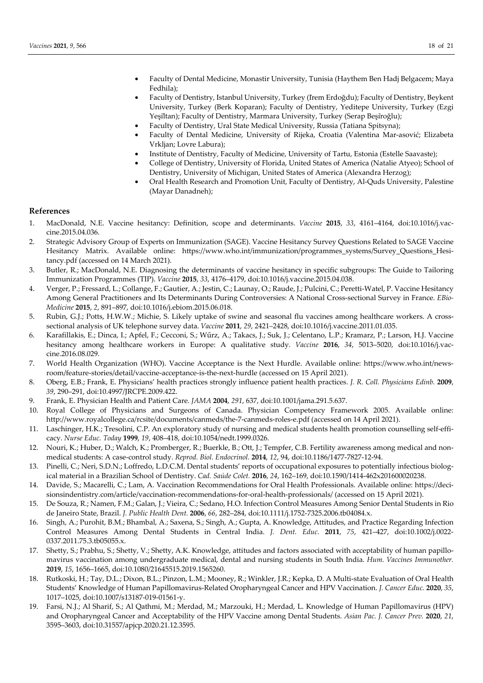- Faculty of Dental Medicine, Monastir University, Tunisia (Haythem Ben Hadj Belgacem; Maya Fedhila);
- Faculty of Dentistry, Istanbul University, Turkey (İrem Erdoğdu); Faculty of Dentistry, Beykent University, Turkey (Berk Koparan); Faculty of Dentistry, Yeditepe University, Turkey (Ezgi Yeşi̇ltan); Faculty of Dentistry, Marmara University, Turkey (Serap Beşi̇roğlu);
- Faculty of Dentistry, Ural State Medical University, Russia (Tatiana Spitsyna);
- Faculty of Dental Medicine, University of Rijeka, Croatia (Valentina Mar-asović; Elizabeta Vrkljan; Lovre Labura);
- Institute of Dentistry, Faculty of Medicine, University of Tartu, Estonia (Estelle Saavaste);
- College of Dentistry, University of Florida, United States of America (Natalie Atyeo); School of Dentistry, University of Michigan, United States of America (Alexandra Herzog);
- Oral Health Research and Promotion Unit, Faculty of Dentistry, Al-Quds University, Palestine (Mayar Danadneh);

## **References**

- 1. MacDonald, N.E. Vaccine hesitancy: Definition, scope and determinants. *Vaccine* **2015**, *33*, 4161–4164, doi:10.1016/j.vaccine.2015.04.036.
- 2. Strategic Advisory Group of Experts on Immunization (SAGE). Vaccine Hesitancy Survey Questions Related to SAGE Vaccine Hesitancy Matrix. Available online: https://www.who.int/immunization/programmes\_systems/Survey\_Questions\_Hesitancy.pdf (accessed on 14 March 2021).
- 3. Butler, R.; MacDonald, N.E. Diagnosing the determinants of vaccine hesitancy in specific subgroups: The Guide to Tailoring Immunization Programmes (TIP). *Vaccine* **2015**, *33*, 4176–4179, doi:10.1016/j.vaccine.2015.04.038.
- 4. Verger, P.; Fressard, L.; Collange, F.; Gautier, A.; Jestin, C.; Launay, O.; Raude, J.; Pulcini, C.; Peretti-Watel, P. Vaccine Hesitancy Among General Practitioners and Its Determinants During Controversies: A National Cross-sectional Survey in France. *EBio-Medicine* **2015**, *2*, 891–897, doi:10.1016/j.ebiom.2015.06.018.
- 5. Rubin, G.J.; Potts, H.W.W.; Michie, S. Likely uptake of swine and seasonal flu vaccines among healthcare workers. A crosssectional analysis of UK telephone survey data. *Vaccine* **2011**, *29*, 2421–2428, doi:10.1016/j.vaccine.2011.01.035.
- 6. Karafillakis, E.; Dinca, I.; Apfel, F.; Cecconi, S.; Wűrz, A.; Takacs, J.; Suk, J.; Celentano, L.P.; Kramarz, P.; Larson, H.J. Vaccine hesitancy among healthcare workers in Europe: A qualitative study. *Vaccine* **2016**, *34*, 5013–5020, doi:10.1016/j.vaccine.2016.08.029.
- 7. World Health Organization (WHO). Vaccine Acceptance is the Next Hurdle. Available online: https://www.who.int/newsroom/feature-stories/detail/vaccine-acceptance-is-the-next-hurdle (accessed on 15 April 2021).
- 8. Oberg, E.B.; Frank, E. Physicians' health practices strongly influence patient health practices. *J. R. Coll. Physicians Edinb.* **2009**, *39*, 290–291, doi:10.4997/JRCPE.2009.422.
- 9. Frank, E. Physician Health and Patient Care. *JAMA* **2004**, *291*, 637, doi:10.1001/jama.291.5.637.
- 10. Royal College of Physicians and Surgeons of Canada. Physician Competency Framework 2005. Available online: http://www.royalcollege.ca/rcsite/documents/canmeds/the-7-canmeds-roles-e.pdf (accessed on 14 April 2021).
- 11. Laschinger, H.K.; Tresolini, C.P. An exploratory study of nursing and medical students health promotion counselling self-efficacy. *Nurse Educ. Today* **1999**, *19*, 408–418, doi:10.1054/nedt.1999.0326.
- 12. Nouri, K.; Huber, D.; Walch, K.; Promberger, R.; Buerkle, B.; Ott, J.; Tempfer, C.B. Fertility awareness among medical and nonmedical students: A case-control study. *Reprod. Biol. Endocrinol.* **2014**, *12*, 94, doi:10.1186/1477-7827-12-94.
- 13. Pinelli, C.; Neri, S.D.N.; Loffredo, L.D.C.M. Dental students' reports of occupational exposures to potentially infectious biological material in a Brazilian School of Dentistry. *Cad. Saúde Colet.* **2016**, *24*, 162–169, doi:10.1590/1414-462x201600020238.
- 14. Davide, S.; Macarelli, C.; Lam, A. Vaccination Recommendations for Oral Health Professionals. Available online: https://decisionsindentistry.com/article/vaccination-recommendations-for-oral-health-professionals/ (accessed on 15 April 2021).
- 15. De Souza, R.; Namen, F.M.; Galan, J.; Vieira, C.; Sedano, H.O. Infection Control Measures Among Senior Dental Students in Rio de Janeiro State, Brazil. *J. Public Health Dent.* **2006**, *66*, 282–284, doi:10.1111/j.1752-7325.2006.tb04084.x.
- 16. Singh, A.; Purohit, B.M.; Bhambal, A.; Saxena, S.; Singh, A.; Gupta, A. Knowledge, Attitudes, and Practice Regarding Infection Control Measures Among Dental Students in Central India. *J. Dent. Educ.* **2011**, *75*, 421–427, doi:10.1002/j.0022- 0337.2011.75.3.tb05055.x.
- 17. Shetty, S.; Prabhu, S.; Shetty, V.; Shetty, A.K. Knowledge, attitudes and factors associated with acceptability of human papillomavirus vaccination among undergraduate medical, dental and nursing students in South India. *Hum. Vaccines Immunother.* **2019**, *15*, 1656–1665, doi:10.1080/21645515.2019.1565260.
- 18. Rutkoski, H.; Tay, D.L.; Dixon, B.L.; Pinzon, L.M.; Mooney, R.; Winkler, J.R.; Kepka, D. A Multi-state Evaluation of Oral Health Students' Knowledge of Human Papillomavirus-Related Oropharyngeal Cancer and HPV Vaccination. *J. Cancer Educ.* **2020**, *35*, 1017–1025, doi:10.1007/s13187-019-01561-y.
- 19. Farsi, N.J.; Al Sharif, S.; Al Qathmi, M.; Merdad, M.; Marzouki, H.; Merdad, L. Knowledge of Human Papillomavirus (HPV) and Oropharyngeal Cancer and Acceptability of the HPV Vaccine among Dental Students. *Asian Pac. J. Cancer Prev.* **2020**, *21*, 3595–3603, doi:10.31557/apjcp.2020.21.12.3595.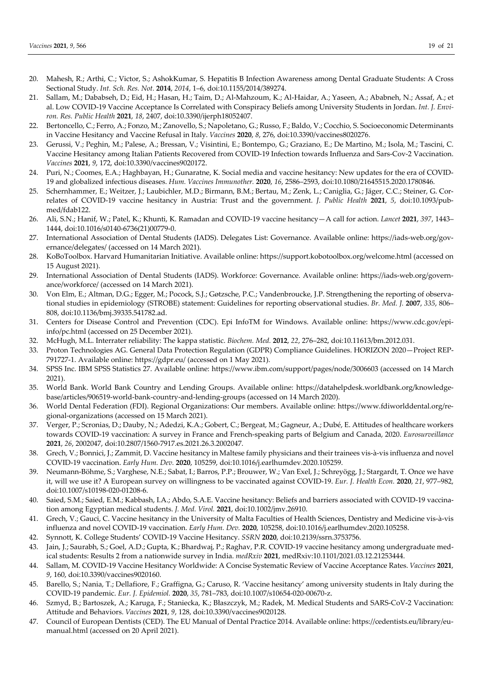- 20. Mahesh, R.; Arthi, C.; Victor, S.; AshokKumar, S. Hepatitis B Infection Awareness among Dental Graduate Students: A Cross Sectional Study. *Int. Sch. Res. Not.* **2014**, *2014*, 1–6, doi:10.1155/2014/389274.
- 21. Sallam, M.; Dababseh, D.; Eid, H.; Hasan, H.; Taim, D.; Al-Mahzoum, K.; Al-Haidar, A.; Yaseen, A.; Ababneh, N.; Assaf, A.; et al. Low COVID-19 Vaccine Acceptance Is Correlated with Conspiracy Beliefs among University Students in Jordan. *Int. J. Environ. Res. Public Health* **2021**, *18*, 2407, doi:10.3390/ijerph18052407.
- 22. Bertoncello, C.; Ferro, A.; Fonzo, M.; Zanovello, S.; Napoletano, G.; Russo, F.; Baldo, V.; Cocchio, S. Socioeconomic Determinants in Vaccine Hesitancy and Vaccine Refusal in Italy. *Vaccines* **2020**, *8*, 276, doi:10.3390/vaccines8020276.
- 23. Gerussi, V.; Peghin, M.; Palese, A.; Bressan, V.; Visintini, E.; Bontempo, G.; Graziano, E.; De Martino, M.; Isola, M.; Tascini, C. Vaccine Hesitancy among Italian Patients Recovered from COVID-19 Infection towards Influenza and Sars-Cov-2 Vaccination. *Vaccines* **2021**, *9*, 172, doi:10.3390/vaccines9020172.
- 24. Puri, N.; Coomes, E.A.; Haghbayan, H.; Gunaratne, K. Social media and vaccine hesitancy: New updates for the era of COVID-19 and globalized infectious diseases. *Hum. Vaccines Immunother.* **2020**, *16*, 2586–2593, doi:10.1080/21645515.2020.1780846.
- 25. Schernhammer, E.; Weitzer, J.; Laubichler, M.D.; Birmann, B.M.; Bertau, M.; Zenk, L.; Caniglia, G.; Jäger, C.C.; Steiner, G. Correlates of COVID-19 vaccine hesitancy in Austria: Trust and the government. *J. Public Health* **2021**, *5*, doi:10.1093/pubmed/fdab122.
- 26. Ali, S.N.; Hanif, W.; Patel, K.; Khunti, K. Ramadan and COVID-19 vaccine hesitancy—A call for action. *Lancet* **2021**, *397*, 1443– 1444, doi:10.1016/s0140-6736(21)00779-0.
- 27. International Association of Dental Students (IADS). Delegates List: Governance. Available online: https://iads-web.org/governance/delegates/ (accessed on 14 March 2021).
- 28. KoBoToolbox. Harvard Humanitarian Initiative. Available online: https://support.kobotoolbox.org/welcome.html (accessed on 15 August 2021).
- 29. International Association of Dental Students (IADS). Workforce: Governance. Available online: https://iads-web.org/governance/workforce/ (accessed on 14 March 2021).
- 30. Von Elm, E.; Altman, D.G.; Egger, M.; Pocock, S.J.; Gøtzsche, P.C.; Vandenbroucke, J.P. Strengthening the reporting of observational studies in epidemiology (STROBE) statement: Guidelines for reporting observational studies. *Br. Med. J.* **2007**, *335*, 806– 808, doi:10.1136/bmj.39335.541782.ad.
- 31. Centers for Disease Control and Prevention (CDC). Epi InfoTM for Windows. Available online: https://www.cdc.gov/epiinfo/pc.html (accessed on 25 December 2021).
- 32. McHugh, M.L. Interrater reliability: The kappa statistic. *Biochem. Med.* **2012**, *22*, 276–282, doi:10.11613/bm.2012.031.
- 33. Proton Technologies AG. General Data Protection Regulation (GDPR) Compliance Guidelines. HORIZON 2020—Project REP-791727-1. Available online: https://gdpr.eu/ (accessed on 1 May 2021).
- 34. SPSS Inc. IBM SPSS Statistics 27. Available online: https://www.ibm.com/support/pages/node/3006603 (accessed on 14 March 2021).
- 35. World Bank. World Bank Country and Lending Groups. Available online: https://datahelpdesk.worldbank.org/knowledgebase/articles/906519-world-bank-country-and-lending-groups (accessed on 14 March 2020).
- 36. World Dental Federation (FDI). Regional Organizations: Our members. Available online: https://www.fdiworlddental.org/regional-organizations (accessed on 15 March 2021).
- 37. Verger, P.; Scronias, D.; Dauby, N.; Adedzi, K.A.; Gobert, C.; Bergeat, M.; Gagneur, A.; Dubé, E. Attitudes of healthcare workers towards COVID-19 vaccination: A survey in France and French-speaking parts of Belgium and Canada, 2020. *Eurosurveillance* **2021**, *26*, 2002047, doi:10.2807/1560-7917.es.2021.26.3.2002047.
- 38. Grech, V.; Bonnici, J.; Zammit, D. Vaccine hesitancy in Maltese family physicians and their trainees vis-à-vis influenza and novel COVID-19 vaccination. *Early Hum. Dev.* **2020**, 105259, doi:10.1016/j.earlhumdev.2020.105259.
- 39. Neumann-Böhme, S.; Varghese, N.E.; Sabat, I.; Barros, P.P.; Brouwer, W.; Van Exel, J.; Schreyögg, J.; Stargardt, T. Once we have it, will we use it? A European survey on willingness to be vaccinated against COVID-19. *Eur. J. Health Econ.* **2020**, *21*, 977–982, doi:10.1007/s10198-020-01208-6.
- 40. Saied, S.M.; Saied, E.M.; Kabbash, I.A.; Abdo, S.A.E. Vaccine hesitancy: Beliefs and barriers associated with COVID-19 vaccination among Egyptian medical students. *J. Med. Virol.* **2021**, doi:10.1002/jmv.26910.
- 41. Grech, V.; Gauci, C. Vaccine hesitancy in the University of Malta Faculties of Health Sciences, Dentistry and Medicine vis-à-vis influenza and novel COVID-19 vaccination. *Early Hum. Dev.* **2020**, 105258, doi:10.1016/j.earlhumdev.2020.105258.
- 42. Synnott, K. College Students' COVID-19 Vaccine Hesitancy. *SSRN* **2020**, doi:10.2139/ssrn.3753756.
- 43. Jain, J.; Saurabh, S.; Goel, A.D.; Gupta, K.; Bhardwaj, P.; Raghav, P.R. COVID-19 vaccine hesitancy among undergraduate medical students: Results 2 from a nationwide survey in India. *medRxiv* **2021**, medRxiv:10.1101/2021.03.12.21253444.
- 44. Sallam, M. COVID-19 Vaccine Hesitancy Worldwide: A Concise Systematic Review of Vaccine Acceptance Rates. *Vaccines* **2021**, *9*, 160, doi:10.3390/vaccines9020160.
- 45. Barello, S.; Nania, T.; Dellafiore, F.; Graffigna, G.; Caruso, R. 'Vaccine hesitancy' among university students in Italy during the COVID-19 pandemic. *Eur. J. Epidemiol.* **2020**, *35*, 781–783, doi:10.1007/s10654-020-00670-z.
- 46. Szmyd, B.; Bartoszek, A.; Karuga, F.; Staniecka, K.; Błaszczyk, M.; Radek, M. Medical Students and SARS-CoV-2 Vaccination: Attitude and Behaviors. *Vaccines* **2021**, *9*, 128, doi:10.3390/vaccines9020128.
- 47. Council of European Dentists (CED). The EU Manual of Dental Practice 2014. Available online: https://cedentists.eu/library/eumanual.html (accessed on 20 April 2021).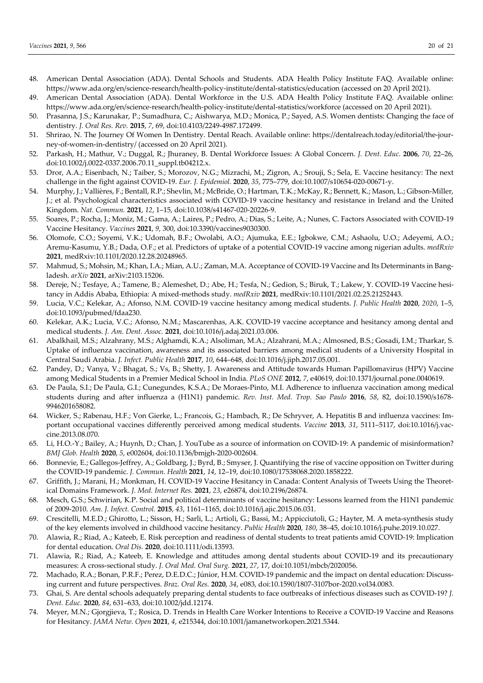- 48. American Dental Association (ADA). Dental Schools and Students. ADA Health Policy Institute FAQ. Available online: https://www.ada.org/en/science-research/health-policy-institute/dental-statistics/education (accessed on 20 April 2021).
- 49. American Dental Association (ADA). Dental Workforce in the U.S. ADA Health Policy Institute FAQ. Available online: https://www.ada.org/en/science-research/health-policy-institute/dental-statistics/workforce (accessed on 20 April 2021).
- 50. Prasanna, J.S.; Karunakar, P.; Sumadhura, C.; Aishwarya, M.D.; Monica, P.; Sayed, A.S. Women dentists: Changing the face of dentistry. *J. Oral Res. Rev.* **2015**, *7*, 69, doi:10.4103/2249-4987.172499.
- 51. Shrirao, N. The Journey Of Women In Dentistry. Dental Reach. Available online: https://dentalreach.today/editorial/the-journey-of-women-in-dentistry/ (accessed on 20 April 2021).
- 52. Parkash, H.; Mathur, V.; Duggal, R.; Jhuraney, B. Dental Workforce Issues: A Global Concern. *J. Dent. Educ.* **2006**, *70*, 22–26, doi:10.1002/j.0022-0337.2006.70.11\_suppl.tb04212.x.
- 53. Dror, A.A.; Eisenbach, N.; Taiber, S.; Morozov, N.G.; Mizrachi, M.; Zigron, A.; Srouji, S.; Sela, E. Vaccine hesitancy: The next challenge in the fight against COVID-19. *Eur. J. Epidemiol.* **2020**, *35*, 775–779, doi:10.1007/s10654-020-00671-y.
- 54. Murphy, J.; Vallières, F.; Bentall, R.P.; Shevlin, M.; McBride, O.; Hartman, T.K.; McKay, R.; Bennett, K.; Mason, L.; Gibson-Miller, J.; et al. Psychological characteristics associated with COVID-19 vaccine hesitancy and resistance in Ireland and the United Kingdom. *Nat. Commun.* **2021**, *12*, 1–15, doi:10.1038/s41467-020-20226-9.
- 55. Soares, P.; Rocha, J.; Moniz, M.; Gama, A.; Laires, P.; Pedro, A.; Dias, S.; Leite, A.; Nunes, C. Factors Associated with COVID-19 Vaccine Hesitancy. *Vaccines* **2021**, *9*, 300, doi:10.3390/vaccines9030300.
- 56. Olomofe, C.O.; Soyemi, V.K.; Udomah, B.F.; Owolabi, A.O.; Ajumuka, E.E.; Igbokwe, C.M.; Ashaolu, U.O.; Adeyemi, A.O.; Aremu-Kasumu, Y.B.; Dada, O.F.; et al. Predictors of uptake of a potential COVID-19 vaccine among nigerian adults. *medRxiv* **2021**, medRxiv:10.1101/2020.12.28.20248965.
- 57. Mahmud, S.; Mohsin, M.; Khan, I.A.; Mian, A.U.; Zaman, M.A. Acceptance of COVID-19 Vaccine and Its Determinants in Bangladesh. *arXiv* **2021**, arXiv:2103.15206.
- 58. Dereje, N.; Tesfaye, A.; Tamene, B.; Alemeshet, D.; Abe, H.; Tesfa, N.; Gedion, S.; Biruk, T.; Lakew, Y. COVID-19 Vaccine hesitancy in Addis Ababa, Ethiopia: A mixed-methods study. *medRxiv* **2021**, medRxiv:10.1101/2021.02.25.21252443.
- 59. Lucia, V.C.; Kelekar, A.; Afonso, N.M. COVID-19 vaccine hesitancy among medical students. *J. Public Health* **2020**, *2020*, 1–5, doi:10.1093/pubmed/fdaa230.
- 60. Kelekar, A.K.; Lucia, V.C.; Afonso, N.M.; Mascarenhas, A.K. COVID-19 vaccine acceptance and hesitancy among dental and medical students. *J. Am. Dent. Assoc.* **2021**, doi:10.1016/j.adaj.2021.03.006.
- 61. Abalkhail, M.S.; Alzahrany, M.S.; Alghamdi, K.A.; Alsoliman, M.A.; Alzahrani, M.A.; Almosned, B.S.; Gosadi, I.M.; Tharkar, S. Uptake of influenza vaccination, awareness and its associated barriers among medical students of a University Hospital in Central Saudi Arabia. *J. Infect. Public Health* **2017**, *10*, 644–648, doi:10.1016/j.jiph.2017.05.001.
- 62. Pandey, D.; Vanya, V.; Bhagat, S.; Vs, B.; Shetty, J. Awareness and Attitude towards Human Papillomavirus (HPV) Vaccine among Medical Students in a Premier Medical School in India. *PLoS ONE* **2012**, *7*, e40619, doi:10.1371/journal.pone.0040619.
- 63. De Paula, S.I.; De Paula, G.I.; Cunegundes, K.S.A.; De Moraes-Pinto, M.I. Adherence to influenza vaccination among medical students during and after influenza a (H1N1) pandemic. *Rev. Inst. Med. Trop. Sao Paulo* **2016**, *58*, 82, doi:10.1590/s1678- 9946201658082.
- 64. Wicker, S.; Rabenau, H.F.; Von Gierke, L.; Francois, G.; Hambach, R.; De Schryver, A. Hepatitis B and influenza vaccines: Important occupational vaccines differently perceived among medical students. *Vaccine* **2013**, *31*, 5111–5117, doi:10.1016/j.vaccine.2013.08.070.
- 65. Li, H.O.-Y.; Bailey, A.; Huynh, D.; Chan, J. YouTube as a source of information on COVID-19: A pandemic of misinformation? *BMJ Glob. Health* **2020**, *5*, e002604, doi:10.1136/bmjgh-2020-002604.
- 66. Bonnevie, E.; Gallegos-Jeffrey, A.; Goldbarg, J.; Byrd, B.; Smyser, J. Quantifying the rise of vaccine opposition on Twitter during the COVID-19 pandemic. *J. Commun. Health* **2021**, *14*, 12–19, doi:10.1080/17538068.2020.1858222.
- 67. Griffith, J.; Marani, H.; Monkman, H. COVID-19 Vaccine Hesitancy in Canada: Content Analysis of Tweets Using the Theoretical Domains Framework. *J. Med. Internet Res.* **2021**, *23*, e26874, doi:10.2196/26874.
- 68. Mesch, G.S.; Schwirian, K.P. Social and political determinants of vaccine hesitancy: Lessons learned from the H1N1 pandemic of 2009-2010. *Am. J. Infect. Control.* **2015**, *43*, 1161–1165, doi:10.1016/j.ajic.2015.06.031.
- 69. Crescitelli, M.E.D.; Ghirotto, L.; Sisson, H.; Sarli, L.; Artioli, G.; Bassi, M.; Appicciutoli, G.; Hayter, M. A meta-synthesis study of the key elements involved in childhood vaccine hesitancy. *Public Health* **2020**, *180*, 38–45, doi:10.1016/j.puhe.2019.10.027.
- 70. Alawia, R.; Riad, A.; Kateeb, E. Risk perception and readiness of dental students to treat patients amid COVID-19: Implication for dental education. *Oral Dis.* **2020**, doi:10.1111/odi.13593.
- 71. Alawia, R.; Riad, A.; Kateeb, E. Knowledge and attitudes among dental students about COVID-19 and its precautionary measures: A cross-sectional study. *J. Oral Med. Oral Surg.* **2021**, *27*, 17, doi:10.1051/mbcb/2020056.
- 72. Machado, R.A.; Bonan, P.R.F.; Perez, D.E.D.C.; Júnior, H.M. COVID-19 pandemic and the impact on dental education: Discussing current and future perspectives. *Braz. Oral Res.* **2020**, *34*, e083, doi:10.1590/1807-3107bor-2020.vol34.0083.
- 73. Ghai, S. Are dental schools adequately preparing dental students to face outbreaks of infectious diseases such as COVID-19? *J. Dent. Educ.* **2020**, *84*, 631–633, doi:10.1002/jdd.12174.
- 74. Meyer, M.N.; Gjorgjieva, T.; Rosica, D. Trends in Health Care Worker Intentions to Receive a COVID-19 Vaccine and Reasons for Hesitancy. *JAMA Netw. Open* **2021**, *4*, e215344, doi:10.1001/jamanetworkopen.2021.5344.